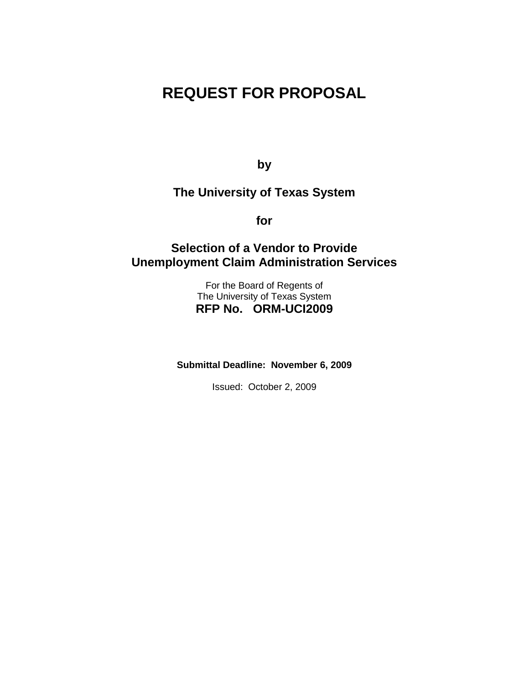# **REQUEST FOR PROPOSAL**

**by**

**The University of Texas System**

**for**

# **Selection of a Vendor to Provide Unemployment Claim Administration Services**

For the Board of Regents of The University of Texas System **RFP No. ORM-UCI2009**

**Submittal Deadline: November 6, 2009**

Issued: October 2, 2009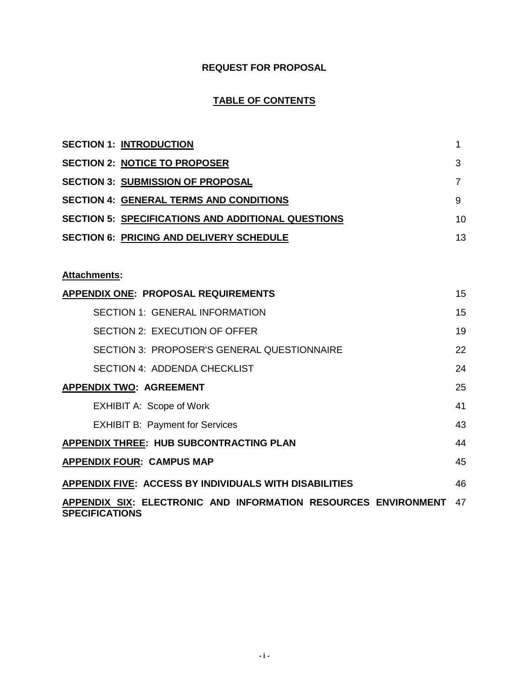# **REQUEST FOR PROPOSAL**

# **TABLE OF CONTENTS**

| <b>SECTION 1: INTRODUCTION</b>                            | 1  |
|-----------------------------------------------------------|----|
| <b>SECTION 2: NOTICE TO PROPOSER</b>                      | 3  |
| <b>SECTION 3: SUBMISSION OF PROPOSAL</b>                  | 7  |
| <b>SECTION 4: GENERAL TERMS AND CONDITIONS</b>            | 9  |
| <b>SECTION 5: SPECIFICATIONS AND ADDITIONAL QUESTIONS</b> | 10 |
| <b>SECTION 6: PRICING AND DELIVERY SCHEDULE</b>           | 13 |
|                                                           |    |
| <b>Attachments:</b>                                       |    |
| <b>APPENDIX ONE: PROPOSAL REQUIREMENTS</b>                | 15 |
| <b>SECTION 1: GENERAL INFORMATION</b>                     | 15 |
| SECTION 2: EXECUTION OF OFFER                             | 19 |
| SECTION 3: PROPOSER'S GENERAL QUESTIONNAIRE               | 22 |
| <b>SECTION 4: ADDENDA CHECKLIST</b>                       | 24 |
| <b>APPENDIX TWO: AGREEMENT</b>                            | 25 |
| <b>EXHIBIT A: Scope of Work</b>                           | 41 |
| <b>EXHIBIT B: Payment for Services</b>                    | 43 |

| $\frac{1}{2}$                           | . . |
|-----------------------------------------|-----|
| APPENDIX THREE: HUB SUBCONTRACTING PLAN | 44  |
| <b>APPENDIX FOUR: CAMPUS MAP</b>        | 45  |
|                                         |     |

**APPENDIX FIVE: ACCESS BY INDIVIDUALS WITH DISABILITIES** 46 **APPENDIX SIX: ELECTRONIC AND INFORMATION RESOURCES ENVIRONMENT**  47

**SPECIFICATIONS**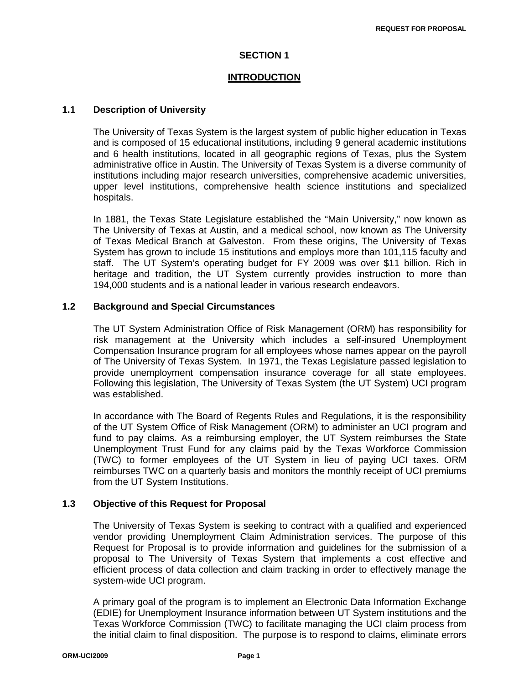### **SECTION 1**

### **INTRODUCTION**

### **1.1 Description of University**

The University of Texas System is the largest system of public higher education in Texas and is composed of 15 educational institutions, including 9 general academic institutions and 6 health institutions, located in all geographic regions of Texas, plus the System administrative office in Austin. The University of Texas System is a diverse community of institutions including major research universities, comprehensive academic universities, upper level institutions, comprehensive health science institutions and specialized hospitals.

In 1881, the Texas State Legislature established the "Main University," now known as The University of Texas at Austin, and a medical school, now known as The University of Texas Medical Branch at Galveston. From these origins, The University of Texas System has grown to include 15 institutions and employs more than 101,115 faculty and staff. The UT System's operating budget for FY 2009 was over \$11 billion. Rich in heritage and tradition, the UT System currently provides instruction to more than 194,000 students and is a national leader in various research endeavors.

### **1.2 Background and Special Circumstances**

The UT System Administration Office of Risk Management (ORM) has responsibility for risk management at the University which includes a self-insured Unemployment Compensation Insurance program for all employees whose names appear on the payroll of The University of Texas System. In 1971, the Texas Legislature passed legislation to provide unemployment compensation insurance coverage for all state employees. Following this legislation, The University of Texas System (the UT System) UCI program was established.

In accordance with The Board of Regents Rules and Regulations, it is the responsibility of the UT System Office of Risk Management (ORM) to administer an UCI program and fund to pay claims. As a reimbursing employer, the UT System reimburses the State Unemployment Trust Fund for any claims paid by the Texas Workforce Commission (TWC) to former employees of the UT System in lieu of paying UCI taxes. ORM reimburses TWC on a quarterly basis and monitors the monthly receipt of UCI premiums from the UT System Institutions.

### **1.3 Objective of this Request for Proposal**

The University of Texas System is seeking to contract with a qualified and experienced vendor providing Unemployment Claim Administration services. The purpose of this Request for Proposal is to provide information and guidelines for the submission of a proposal to The University of Texas System that implements a cost effective and efficient process of data collection and claim tracking in order to effectively manage the system-wide UCI program.

A primary goal of the program is to implement an Electronic Data Information Exchange (EDIE) for Unemployment Insurance information between UT System institutions and the Texas Workforce Commission (TWC) to facilitate managing the UCI claim process from the initial claim to final disposition. The purpose is to respond to claims, eliminate errors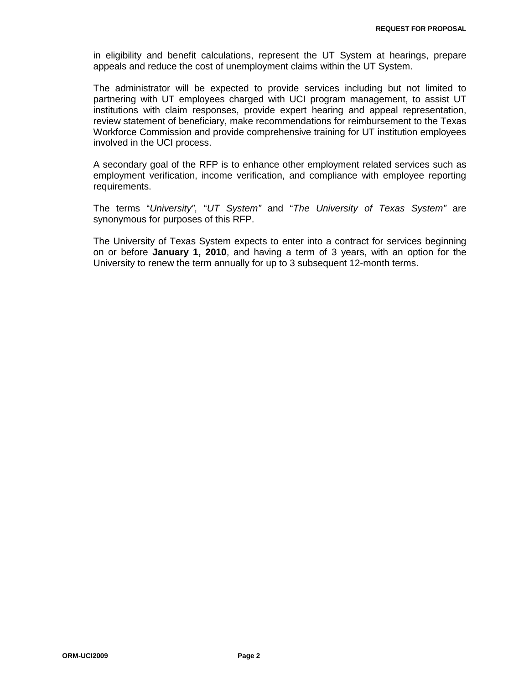in eligibility and benefit calculations, represent the UT System at hearings, prepare appeals and reduce the cost of unemployment claims within the UT System.

The administrator will be expected to provide services including but not limited to partnering with UT employees charged with UCI program management, to assist UT institutions with claim responses, provide expert hearing and appeal representation, review statement of beneficiary, make recommendations for reimbursement to the Texas Workforce Commission and provide comprehensive training for UT institution employees involved in the UCI process.

A secondary goal of the RFP is to enhance other employment related services such as employment verification, income verification, and compliance with employee reporting requirements.

The terms "*University"*, "*UT System"* and "*The University of Texas System"* are synonymous for purposes of this RFP.

The University of Texas System expects to enter into a contract for services beginning on or before **January 1, 2010**, and having a term of 3 years, with an option for the University to renew the term annually for up to 3 subsequent 12-month terms.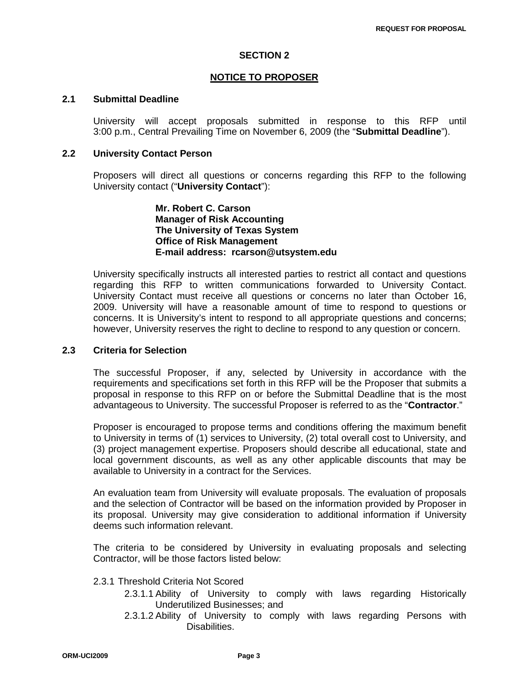### **SECTION 2**

### **NOTICE TO PROPOSER**

### **2.1 Submittal Deadline**

University will accept proposals submitted in response to this RFP until 3:00 p.m., Central Prevailing Time on November 6, 2009 (the "**Submittal Deadline**").

### **2.2 University Contact Person**

Proposers will direct all questions or concerns regarding this RFP to the following University contact ("**University Contact**"):

> **Mr. Robert C. Carson Manager of Risk Accounting The University of Texas System Office of Risk Management E-mail address: rcarson@utsystem.edu**

University specifically instructs all interested parties to restrict all contact and questions regarding this RFP to written communications forwarded to University Contact. University Contact must receive all questions or concerns no later than October 16, 2009. University will have a reasonable amount of time to respond to questions or concerns. It is University's intent to respond to all appropriate questions and concerns; however, University reserves the right to decline to respond to any question or concern.

### **2.3 Criteria for Selection**

The successful Proposer, if any, selected by University in accordance with the requirements and specifications set forth in this RFP will be the Proposer that submits a proposal in response to this RFP on or before the Submittal Deadline that is the most advantageous to University. The successful Proposer is referred to as the "**Contractor**."

Proposer is encouraged to propose terms and conditions offering the maximum benefit to University in terms of (1) services to University, (2) total overall cost to University, and (3) project management expertise. Proposers should describe all educational, state and local government discounts, as well as any other applicable discounts that may be available to University in a contract for the Services.

An evaluation team from University will evaluate proposals. The evaluation of proposals and the selection of Contractor will be based on the information provided by Proposer in its proposal. University may give consideration to additional information if University deems such information relevant.

The criteria to be considered by University in evaluating proposals and selecting Contractor, will be those factors listed below:

### 2.3.1 Threshold Criteria Not Scored

- 2.3.1.1 Ability of University to comply with laws regarding Historically Underutilized Businesses; and
- 2.3.1.2 Ability of University to comply with laws regarding Persons with Disabilities.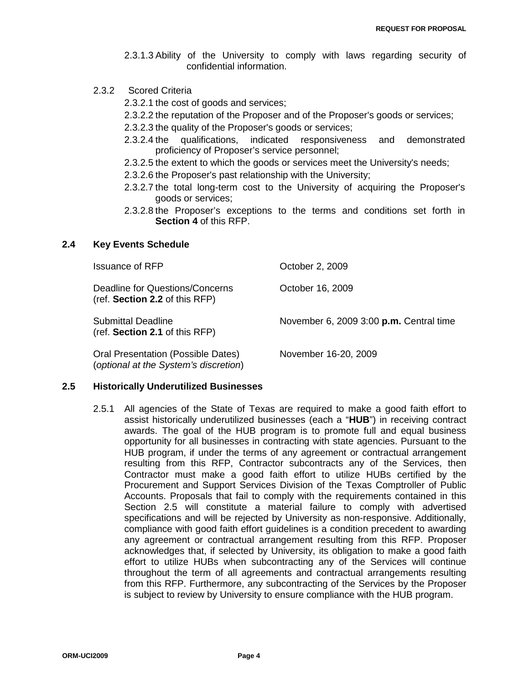- 2.3.1.3 Ability of the University to comply with laws regarding security of confidential information.
- 2.3.2 Scored Criteria
	- 2.3.2.1 the cost of goods and services;
	- 2.3.2.2 the reputation of the Proposer and of the Proposer's goods or services;
	- 2.3.2.3 the quality of the Proposer's goods or services;
	- 2.3.2.4 the qualifications, indicated responsiveness and demonstrated proficiency of Proposer's service personnel;
	- 2.3.2.5 the extent to which the goods or services meet the University's needs;
	- 2.3.2.6 the Proposer's past relationship with the University;
	- 2.3.2.7 the total long-term cost to the University of acquiring the Proposer's goods or services;
	- 2.3.2.8 the Proposer's exceptions to the terms and conditions set forth in **Section 4** of this RFP.

### **2.4 Key Events Schedule**

| <b>Issuance of RFP</b>                                                      | October 2, 2009                         |
|-----------------------------------------------------------------------------|-----------------------------------------|
| Deadline for Questions/Concerns<br>(ref. Section 2.2 of this RFP)           | October 16, 2009                        |
| <b>Submittal Deadline</b><br>(ref. Section 2.1 of this RFP)                 | November 6, 2009 3:00 p.m. Central time |
| Oral Presentation (Possible Dates)<br>(optional at the System's discretion) | November 16-20, 2009                    |

### **2.5 Historically Underutilized Businesses**

2.5.1 All agencies of the State of Texas are required to make a good faith effort to assist historically underutilized businesses (each a "**HUB**") in receiving contract awards. The goal of the HUB program is to promote full and equal business opportunity for all businesses in contracting with state agencies. Pursuant to the HUB program, if under the terms of any agreement or contractual arrangement resulting from this RFP, Contractor subcontracts any of the Services, then Contractor must make a good faith effort to utilize HUBs certified by the Procurement and Support Services Division of the Texas Comptroller of Public Accounts. Proposals that fail to comply with the requirements contained in this Section 2.5 will constitute a material failure to comply with advertised specifications and will be rejected by University as non-responsive. Additionally, compliance with good faith effort guidelines is a condition precedent to awarding any agreement or contractual arrangement resulting from this RFP. Proposer acknowledges that, if selected by University, its obligation to make a good faith effort to utilize HUBs when subcontracting any of the Services will continue throughout the term of all agreements and contractual arrangements resulting from this RFP. Furthermore, any subcontracting of the Services by the Proposer is subject to review by University to ensure compliance with the HUB program.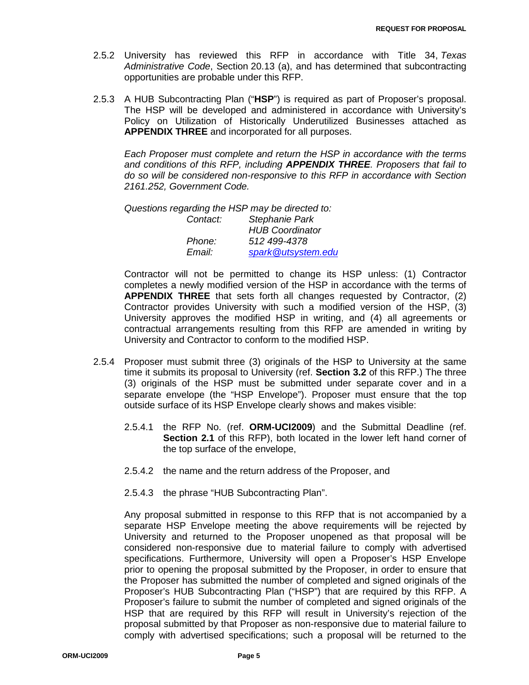- 2.5.2 University has reviewed this RFP in accordance with Title 34, *Texas Administrative Code*, Section 20.13 (a), and has determined that subcontracting opportunities are probable under this RFP.
- 2.5.3 A HUB Subcontracting Plan ("**HSP**") is required as part of Proposer's proposal. The HSP will be developed and administered in accordance with University's Policy on Utilization of Historically Underutilized Businesses attached as **APPENDIX THREE** and incorporated for all purposes.

*Each Proposer must complete and return the HSP in accordance with the terms and conditions of this RFP, including APPENDIX THREE. Proposers that fail to do so will be considered non-responsive to this RFP in accordance with Section 2161.252, Government Code.*

*Questions regarding the HSP may be directed to:*

| Contact: | <b>Stephanie Park</b>  |
|----------|------------------------|
|          | <b>HUB Coordinator</b> |
| Phone:   | 512 499-4378           |
| Email:   | spark@utsystem.edu     |

Contractor will not be permitted to change its HSP unless: (1) Contractor completes a newly modified version of the HSP in accordance with the terms of **APPENDIX THREE** that sets forth all changes requested by Contractor, (2) Contractor provides University with such a modified version of the HSP, (3) University approves the modified HSP in writing, and (4) all agreements or contractual arrangements resulting from this RFP are amended in writing by University and Contractor to conform to the modified HSP.

- 2.5.4 Proposer must submit three (3) originals of the HSP to University at the same time it submits its proposal to University (ref. **Section 3.2** of this RFP.) The three (3) originals of the HSP must be submitted under separate cover and in a separate envelope (the "HSP Envelope"). Proposer must ensure that the top outside surface of its HSP Envelope clearly shows and makes visible:
	- 2.5.4.1 the RFP No. (ref. **ORM-UCI2009**) and the Submittal Deadline (ref. **Section 2.1** of this RFP), both located in the lower left hand corner of the top surface of the envelope,
	- 2.5.4.2 the name and the return address of the Proposer, and
	- 2.5.4.3 the phrase "HUB Subcontracting Plan".

Any proposal submitted in response to this RFP that is not accompanied by a separate HSP Envelope meeting the above requirements will be rejected by University and returned to the Proposer unopened as that proposal will be considered non-responsive due to material failure to comply with advertised specifications. Furthermore, University will open a Proposer's HSP Envelope prior to opening the proposal submitted by the Proposer, in order to ensure that the Proposer has submitted the number of completed and signed originals of the Proposer's HUB Subcontracting Plan ("HSP") that are required by this RFP. A Proposer's failure to submit the number of completed and signed originals of the HSP that are required by this RFP will result in University's rejection of the proposal submitted by that Proposer as non-responsive due to material failure to comply with advertised specifications; such a proposal will be returned to the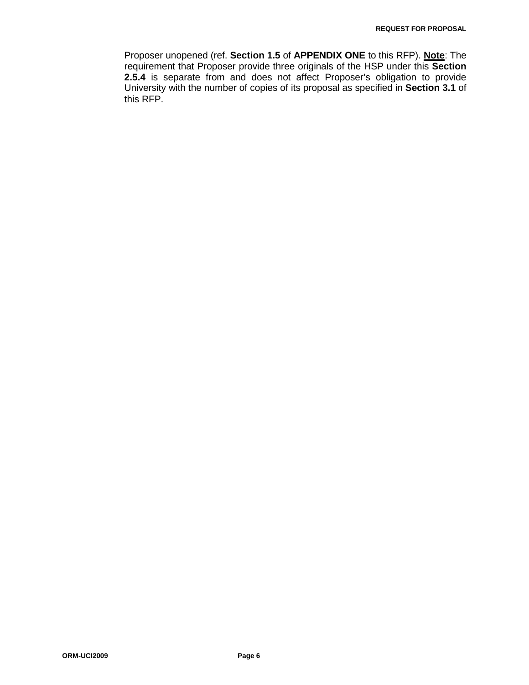Proposer unopened (ref. **Section 1.5** of **APPENDIX ONE** to this RFP). **Note**: The requirement that Proposer provide three originals of the HSP under this **Section 2.5.4** is separate from and does not affect Proposer's obligation to provide University with the number of copies of its proposal as specified in **Section 3.1** of this RFP.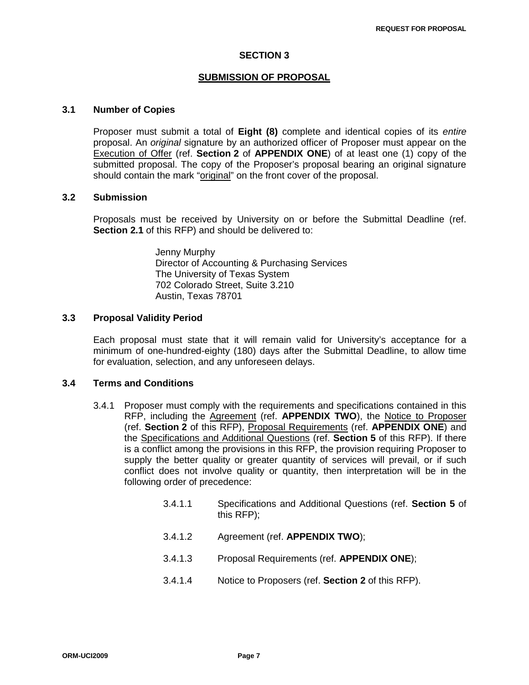### **SECTION 3**

### **SUBMISSION OF PROPOSAL**

### **3.1 Number of Copies**

Proposer must submit a total of **Eight (8)** complete and identical copies of its *entire* proposal. An *original* signature by an authorized officer of Proposer must appear on the Execution of Offer (ref. **Section 2** of **APPENDIX ONE**) of at least one (1) copy of the submitted proposal. The copy of the Proposer's proposal bearing an original signature should contain the mark "original" on the front cover of the proposal.

### **3.2 Submission**

Proposals must be received by University on or before the Submittal Deadline (ref. **Section 2.1** of this RFP) and should be delivered to:

> Jenny Murphy Director of Accounting & Purchasing Services The University of Texas System 702 Colorado Street, Suite 3.210 Austin, Texas 78701

### **3.3 Proposal Validity Period**

Each proposal must state that it will remain valid for University's acceptance for a minimum of one-hundred-eighty (180) days after the Submittal Deadline, to allow time for evaluation, selection, and any unforeseen delays.

### **3.4 Terms and Conditions**

- 3.4.1 Proposer must comply with the requirements and specifications contained in this RFP, including the Agreement (ref. **APPENDIX TWO**), the Notice to Proposer (ref. **Section 2** of this RFP), Proposal Requirements (ref. **APPENDIX ONE**) and the Specifications and Additional Questions (ref. **Section 5** of this RFP). If there is a conflict among the provisions in this RFP, the provision requiring Proposer to supply the better quality or greater quantity of services will prevail, or if such conflict does not involve quality or quantity, then interpretation will be in the following order of precedence:
	- 3.4.1.1 Specifications and Additional Questions (ref. **Section 5** of this RFP);
	- 3.4.1.2 Agreement (ref. **APPENDIX TWO**);
	- 3.4.1.3 Proposal Requirements (ref. **APPENDIX ONE**);
	- 3.4.1.4 Notice to Proposers (ref. **Section 2** of this RFP).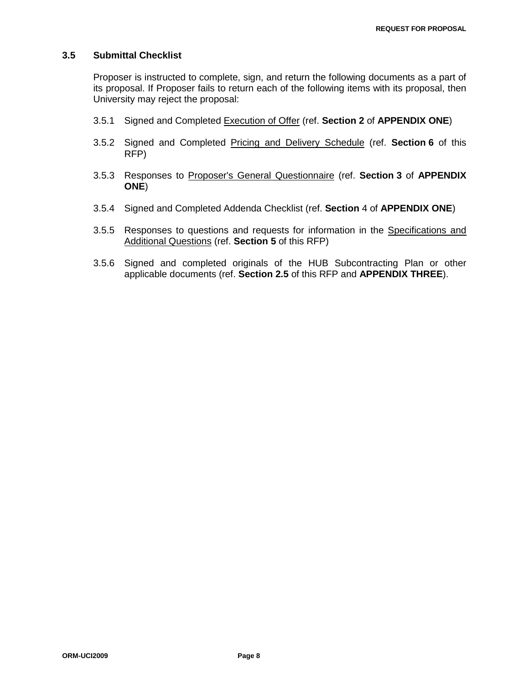### **3.5 Submittal Checklist**

Proposer is instructed to complete, sign, and return the following documents as a part of its proposal. If Proposer fails to return each of the following items with its proposal, then University may reject the proposal:

- 3.5.1 Signed and Completed Execution of Offer (ref. **Section 2** of **APPENDIX ONE**)
- 3.5.2 Signed and Completed Pricing and Delivery Schedule (ref. **Section 6** of this RFP)
- 3.5.3 Responses to Proposer's General Questionnaire (ref. **Section 3** of **APPENDIX ONE**)
- 3.5.4 Signed and Completed Addenda Checklist (ref. **Section** 4 of **APPENDIX ONE**)
- 3.5.5 Responses to questions and requests for information in the Specifications and Additional Questions (ref. **Section 5** of this RFP)
- 3.5.6 Signed and completed originals of the HUB Subcontracting Plan or other applicable documents (ref. **Section 2.5** of this RFP and **APPENDIX THREE**).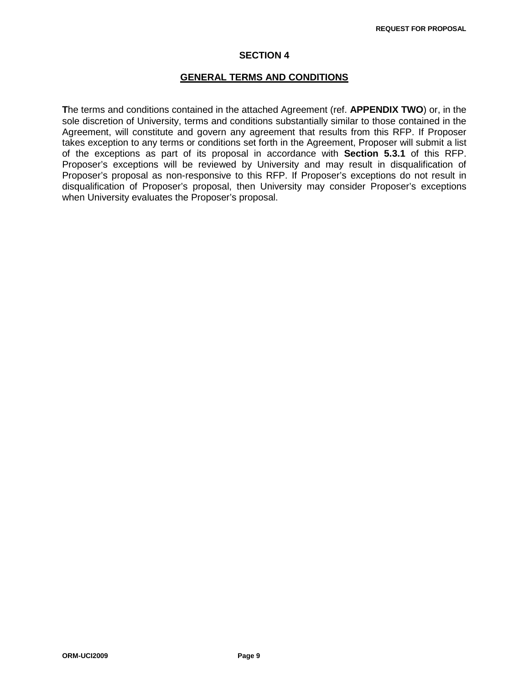### **SECTION 4**

### **GENERAL TERMS AND CONDITIONS**

**T**he terms and conditions contained in the attached Agreement (ref. **APPENDIX TWO**) or, in the sole discretion of University, terms and conditions substantially similar to those contained in the Agreement, will constitute and govern any agreement that results from this RFP. If Proposer takes exception to any terms or conditions set forth in the Agreement, Proposer will submit a list of the exceptions as part of its proposal in accordance with **Section 5.3.1** of this RFP. Proposer's exceptions will be reviewed by University and may result in disqualification of Proposer's proposal as non-responsive to this RFP. If Proposer's exceptions do not result in disqualification of Proposer's proposal, then University may consider Proposer's exceptions when University evaluates the Proposer's proposal.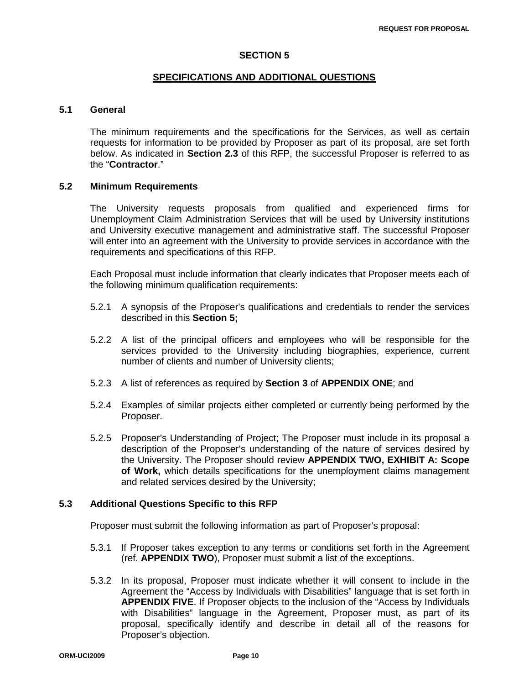### **SECTION 5**

### **SPECIFICATIONS AND ADDITIONAL QUESTIONS**

### **5.1 General**

The minimum requirements and the specifications for the Services, as well as certain requests for information to be provided by Proposer as part of its proposal, are set forth below. As indicated in **Section 2.3** of this RFP, the successful Proposer is referred to as the "**Contractor**."

### **5.2 Minimum Requirements**

The University requests proposals from qualified and experienced firms for Unemployment Claim Administration Services that will be used by University institutions and University executive management and administrative staff. The successful Proposer will enter into an agreement with the University to provide services in accordance with the requirements and specifications of this RFP.

Each Proposal must include information that clearly indicates that Proposer meets each of the following minimum qualification requirements:

- 5.2.1 A synopsis of the Proposer's qualifications and credentials to render the services described in this **Section 5;**
- 5.2.2 A list of the principal officers and employees who will be responsible for the services provided to the University including biographies, experience, current number of clients and number of University clients;
- 5.2.3 A list of references as required by **Section 3** of **APPENDIX ONE**; and
- 5.2.4 Examples of similar projects either completed or currently being performed by the Proposer.
- 5.2.5 Proposer's Understanding of Project; The Proposer must include in its proposal a description of the Proposer's understanding of the nature of services desired by the University. The Proposer should review **APPENDIX TWO, EXHIBIT A: Scope of Work,** which details specifications for the unemployment claims management and related services desired by the University;

### **5.3 Additional Questions Specific to this RFP**

Proposer must submit the following information as part of Proposer's proposal:

- 5.3.1 If Proposer takes exception to any terms or conditions set forth in the Agreement (ref. **APPENDIX TWO**), Proposer must submit a list of the exceptions.
- 5.3.2 In its proposal, Proposer must indicate whether it will consent to include in the Agreement the "Access by Individuals with Disabilities" language that is set forth in **APPENDIX FIVE**. If Proposer objects to the inclusion of the "Access by Individuals with Disabilities" language in the Agreement, Proposer must, as part of its proposal, specifically identify and describe in detail all of the reasons for Proposer's objection.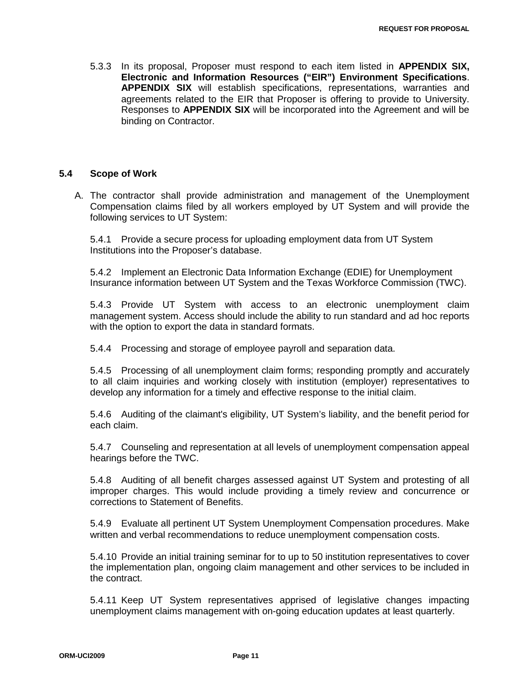5.3.3 In its proposal, Proposer must respond to each item listed in **APPENDIX SIX, Electronic and Information Resources ("EIR") Environment Specifications**. **APPENDIX SIX** will establish specifications, representations, warranties and agreements related to the EIR that Proposer is offering to provide to University. Responses to **APPENDIX SIX** will be incorporated into the Agreement and will be binding on Contractor.

### **5.4 Scope of Work**

A. The contractor shall provide administration and management of the Unemployment Compensation claims filed by all workers employed by UT System and will provide the following services to UT System:

5.4.1 Provide a secure process for uploading employment data from UT System Institutions into the Proposer's database.

5.4.2 Implement an Electronic Data Information Exchange (EDIE) for Unemployment Insurance information between UT System and the Texas Workforce Commission (TWC).

5.4.3 Provide UT System with access to an electronic unemployment claim management system. Access should include the ability to run standard and ad hoc reports with the option to export the data in standard formats.

5.4.4 Processing and storage of employee payroll and separation data.

5.4.5 Processing of all unemployment claim forms; responding promptly and accurately to all claim inquiries and working closely with institution (employer) representatives to develop any information for a timely and effective response to the initial claim.

5.4.6 Auditing of the claimant's eligibility, UT System's liability, and the benefit period for each claim.

5.4.7 Counseling and representation at all levels of unemployment compensation appeal hearings before the TWC.

5.4.8 Auditing of all benefit charges assessed against UT System and protesting of all improper charges. This would include providing a timely review and concurrence or corrections to Statement of Benefits.

5.4.9 Evaluate all pertinent UT System Unemployment Compensation procedures. Make written and verbal recommendations to reduce unemployment compensation costs.

5.4.10 Provide an initial training seminar for to up to 50 institution representatives to cover the implementation plan, ongoing claim management and other services to be included in the contract.

5.4.11 Keep UT System representatives apprised of legislative changes impacting unemployment claims management with on-going education updates at least quarterly.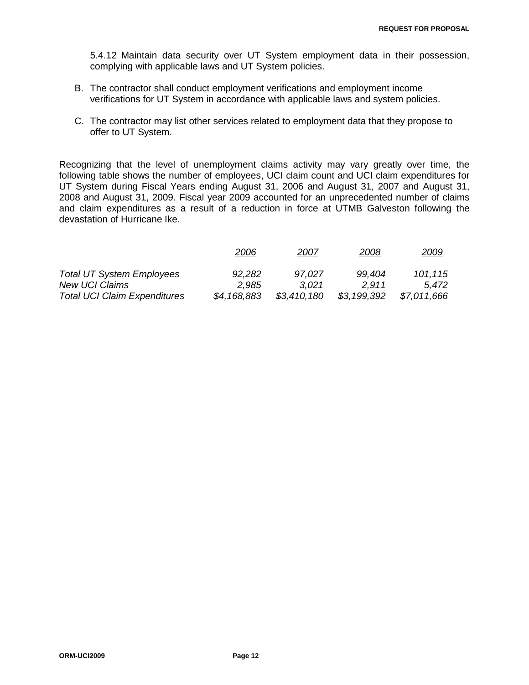5.4.12 Maintain data security over UT System employment data in their possession, complying with applicable laws and UT System policies.

- B. The contractor shall conduct employment verifications and employment income verifications for UT System in accordance with applicable laws and system policies.
- C. The contractor may list other services related to employment data that they propose to offer to UT System.

Recognizing that the level of unemployment claims activity may vary greatly over time, the following table shows the number of employees, UCI claim count and UCI claim expenditures for UT System during Fiscal Years ending August 31, 2006 and August 31, 2007 and August 31, 2008 and August 31, 2009. Fiscal year 2009 accounted for an unprecedented number of claims and claim expenditures as a result of a reduction in force at UTMB Galveston following the devastation of Hurricane Ike.

|                                     | 2006        | 2007        | 2008        | <u> 2009</u> |
|-------------------------------------|-------------|-------------|-------------|--------------|
| <b>Total UT System Employees</b>    | 92,282      | 97,027      | 99,404      | 101,115      |
| <b>New UCI Claims</b>               | 2.985       | 3.021       | 2.911       | 5.472        |
| <b>Total UCI Claim Expenditures</b> | \$4,168,883 | \$3,410,180 | \$3,199,392 | \$7,011,666  |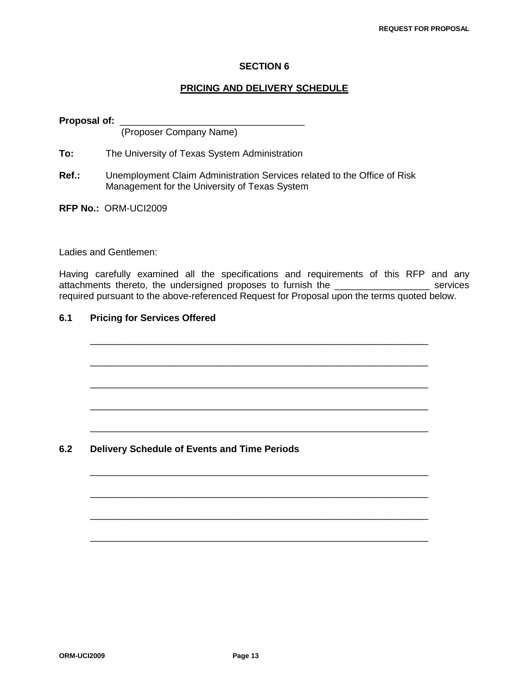### **SECTION 6**

### **PRICING AND DELIVERY SCHEDULE**

**Proposal of:** \_\_\_\_\_\_\_\_\_\_\_\_\_\_\_\_\_\_\_\_\_\_\_\_\_\_\_\_\_\_\_\_\_\_\_ (Proposer Company Name)

**To:** The University of Texas System Administration

- **Ref.:** Unemployment Claim Administration Services related to the Office of Risk Management for the University of Texas System
- **RFP No.:** ORM-UCI2009

Ladies and Gentlemen:

Having carefully examined all the specifications and requirements of this RFP and any attachments thereto, the undersigned proposes to furnish the \_\_\_\_\_\_\_\_\_\_\_\_\_\_\_\_\_\_ services required pursuant to the above-referenced Request for Proposal upon the terms quoted below.

\_\_\_\_\_\_\_\_\_\_\_\_\_\_\_\_\_\_\_\_\_\_\_\_\_\_\_\_\_\_\_\_\_\_\_\_\_\_\_\_\_\_\_\_\_\_\_\_\_\_\_\_\_\_\_\_\_\_\_\_\_\_\_\_

\_\_\_\_\_\_\_\_\_\_\_\_\_\_\_\_\_\_\_\_\_\_\_\_\_\_\_\_\_\_\_\_\_\_\_\_\_\_\_\_\_\_\_\_\_\_\_\_\_\_\_\_\_\_\_\_\_\_\_\_\_\_\_\_

\_\_\_\_\_\_\_\_\_\_\_\_\_\_\_\_\_\_\_\_\_\_\_\_\_\_\_\_\_\_\_\_\_\_\_\_\_\_\_\_\_\_\_\_\_\_\_\_\_\_\_\_\_\_\_\_\_\_\_\_\_\_\_\_

\_\_\_\_\_\_\_\_\_\_\_\_\_\_\_\_\_\_\_\_\_\_\_\_\_\_\_\_\_\_\_\_\_\_\_\_\_\_\_\_\_\_\_\_\_\_\_\_\_\_\_\_\_\_\_\_\_\_\_\_\_\_\_\_

\_\_\_\_\_\_\_\_\_\_\_\_\_\_\_\_\_\_\_\_\_\_\_\_\_\_\_\_\_\_\_\_\_\_\_\_\_\_\_\_\_\_\_\_\_\_\_\_\_\_\_\_\_\_\_\_\_\_\_\_\_\_\_\_

\_\_\_\_\_\_\_\_\_\_\_\_\_\_\_\_\_\_\_\_\_\_\_\_\_\_\_\_\_\_\_\_\_\_\_\_\_\_\_\_\_\_\_\_\_\_\_\_\_\_\_\_\_\_\_\_\_\_\_\_\_\_\_\_

\_\_\_\_\_\_\_\_\_\_\_\_\_\_\_\_\_\_\_\_\_\_\_\_\_\_\_\_\_\_\_\_\_\_\_\_\_\_\_\_\_\_\_\_\_\_\_\_\_\_\_\_\_\_\_\_\_\_\_\_\_\_\_\_

\_\_\_\_\_\_\_\_\_\_\_\_\_\_\_\_\_\_\_\_\_\_\_\_\_\_\_\_\_\_\_\_\_\_\_\_\_\_\_\_\_\_\_\_\_\_\_\_\_\_\_\_\_\_\_\_\_\_\_\_\_\_\_\_

\_\_\_\_\_\_\_\_\_\_\_\_\_\_\_\_\_\_\_\_\_\_\_\_\_\_\_\_\_\_\_\_\_\_\_\_\_\_\_\_\_\_\_\_\_\_\_\_\_\_\_\_\_\_\_\_\_\_\_\_\_\_\_\_

# **6.1 Pricing for Services Offered**

**6.2 Delivery Schedule of Events and Time Periods**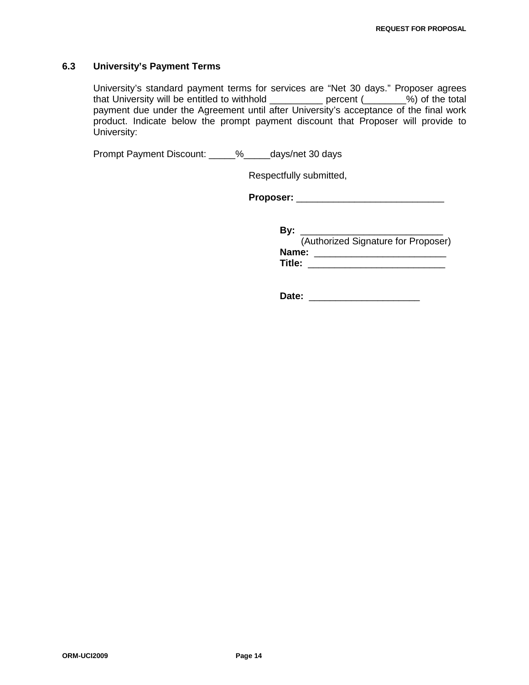### **6.3 University's Payment Terms**

University's standard payment terms for services are "Net 30 days." Proposer agrees that University will be entitled to withhold \_\_\_\_\_\_\_\_\_\_ percent (\_\_\_\_\_\_\_\_%) of the total payment due under the Agreement until after University's acceptance of the final work product. Indicate below the prompt payment discount that Proposer will provide to University:

Prompt Payment Discount: \_\_\_\_\_%\_\_\_\_\_days/net 30 days

Respectfully submitted,

**Proposer:** \_\_\_\_\_\_\_\_\_\_\_\_\_\_\_\_\_\_\_\_\_\_\_\_\_\_\_\_

**By:** \_\_\_\_\_\_\_\_\_\_\_\_\_\_\_\_\_\_\_\_\_\_\_\_\_\_\_

 (Authorized Signature for Proposer) **Name:** \_\_\_\_\_\_\_\_\_\_\_\_\_\_\_\_\_\_\_\_\_\_\_\_\_ **Title:** \_\_\_\_\_\_\_\_\_\_\_\_\_\_\_\_\_\_\_\_\_\_\_\_\_\_

**Date:** \_\_\_\_\_\_\_\_\_\_\_\_\_\_\_\_\_\_\_\_\_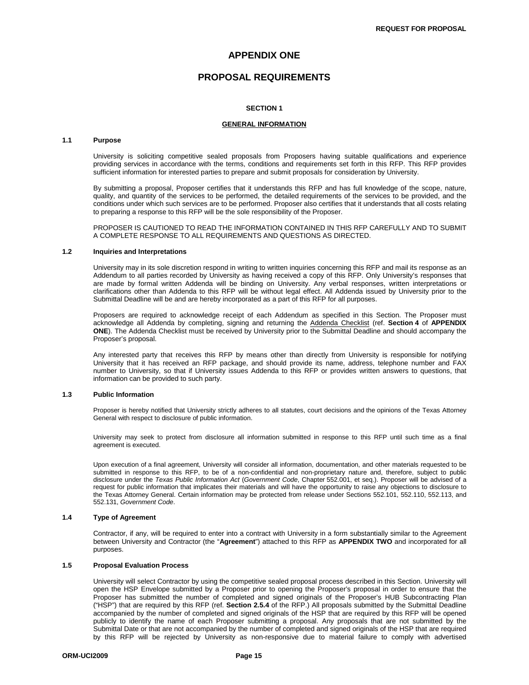### **APPENDIX ONE**

### **PROPOSAL REQUIREMENTS**

#### **SECTION 1**

#### **GENERAL INFORMATION**

#### **1.1 Purpose**

University is soliciting competitive sealed proposals from Proposers having suitable qualifications and experience providing services in accordance with the terms, conditions and requirements set forth in this RFP. This RFP provides sufficient information for interested parties to prepare and submit proposals for consideration by University.

By submitting a proposal, Proposer certifies that it understands this RFP and has full knowledge of the scope, nature, quality, and quantity of the services to be performed, the detailed requirements of the services to be provided, and the conditions under which such services are to be performed. Proposer also certifies that it understands that all costs relating to preparing a response to this RFP will be the sole responsibility of the Proposer.

PROPOSER IS CAUTIONED TO READ THE INFORMATION CONTAINED IN THIS RFP CAREFULLY AND TO SUBMIT A COMPLETE RESPONSE TO ALL REQUIREMENTS AND QUESTIONS AS DIRECTED.

#### **1.2 Inquiries and Interpretations**

University may in its sole discretion respond in writing to written inquiries concerning this RFP and mail its response as an Addendum to all parties recorded by University as having received a copy of this RFP. Only University's responses that are made by formal written Addenda will be binding on University. Any verbal responses, written interpretations or clarifications other than Addenda to this RFP will be without legal effect. All Addenda issued by University prior to the Submittal Deadline will be and are hereby incorporated as a part of this RFP for all purposes.

Proposers are required to acknowledge receipt of each Addendum as specified in this Section. The Proposer must acknowledge all Addenda by completing, signing and returning the Addenda Checklist (ref. **Section 4** of **APPENDIX ONE**). The Addenda Checklist must be received by University prior to the Submittal Deadline and should accompany the Proposer's proposal.

Any interested party that receives this RFP by means other than directly from University is responsible for notifying University that it has received an RFP package, and should provide its name, address, telephone number and FAX number to University, so that if University issues Addenda to this RFP or provides written answers to questions, that information can be provided to such party.

#### **1.3 Public Information**

Proposer is hereby notified that University strictly adheres to all statutes, court decisions and the opinions of the Texas Attorney General with respect to disclosure of public information.

University may seek to protect from disclosure all information submitted in response to this RFP until such time as a final agreement is executed.

Upon execution of a final agreement, University will consider all information, documentation, and other materials requested to be submitted in response to this RFP, to be of a non-confidential and non-proprietary nature and, therefore, subject to public disclosure under the *Texas Public Information Act* (*Government Code*, Chapter 552.001, et seq.). Proposer will be advised of a request for public information that implicates their materials and will have the opportunity to raise any objections to disclosure to the Texas Attorney General. Certain information may be protected from release under Sections 552.101, 552.110, 552.113, and 552.131, *Government Code*.

#### **1.4 Type of Agreement**

Contractor, if any, will be required to enter into a contract with University in a form substantially similar to the Agreement between University and Contractor (the "**Agreement**") attached to this RFP as **APPENDIX TWO** and incorporated for all purposes.

#### **1.5 Proposal Evaluation Process**

University will select Contractor by using the competitive sealed proposal process described in this Section. University will open the HSP Envelope submitted by a Proposer prior to opening the Proposer's proposal in order to ensure that the Proposer has submitted the number of completed and signed originals of the Proposer's HUB Subcontracting Plan ("HSP") that are required by this RFP (ref. **Section 2.5.4** of the RFP.) All proposals submitted by the Submittal Deadline accompanied by the number of completed and signed originals of the HSP that are required by this RFP will be opened publicly to identify the name of each Proposer submitting a proposal. Any proposals that are not submitted by the Submittal Date or that are not accompanied by the number of completed and signed originals of the HSP that are required by this RFP will be rejected by University as non-responsive due to material failure to comply with advertised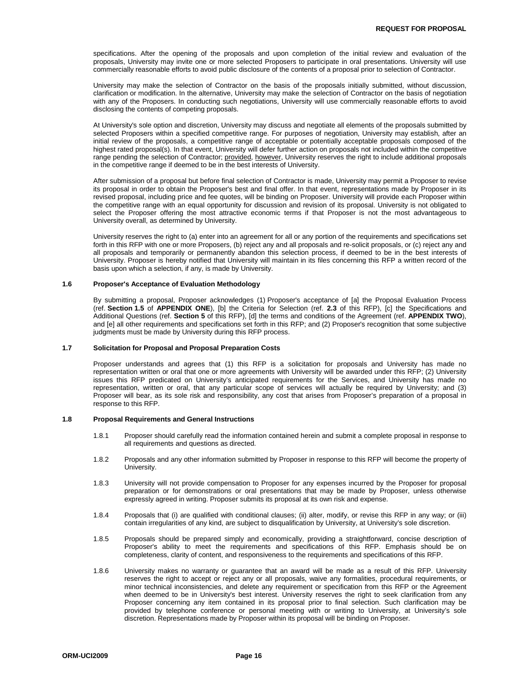specifications. After the opening of the proposals and upon completion of the initial review and evaluation of the proposals, University may invite one or more selected Proposers to participate in oral presentations. University will use commercially reasonable efforts to avoid public disclosure of the contents of a proposal prior to selection of Contractor.

University may make the selection of Contractor on the basis of the proposals initially submitted, without discussion, clarification or modification. In the alternative, University may make the selection of Contractor on the basis of negotiation with any of the Proposers. In conducting such negotiations, University will use commercially reasonable efforts to avoid disclosing the contents of competing proposals.

At University's sole option and discretion, University may discuss and negotiate all elements of the proposals submitted by selected Proposers within a specified competitive range. For purposes of negotiation, University may establish, after an initial review of the proposals, a competitive range of acceptable or potentially acceptable proposals composed of the highest rated proposal(s). In that event, University will defer further action on proposals not included within the competitive range pending the selection of Contractor; provided, however, University reserves the right to include additional proposals in the competitive range if deemed to be in the best interests of University.

After submission of a proposal but before final selection of Contractor is made, University may permit a Proposer to revise its proposal in order to obtain the Proposer's best and final offer. In that event, representations made by Proposer in its revised proposal, including price and fee quotes, will be binding on Proposer. University will provide each Proposer within the competitive range with an equal opportunity for discussion and revision of its proposal. University is not obligated to select the Proposer offering the most attractive economic terms if that Proposer is not the most advantageous to University overall, as determined by University.

University reserves the right to (a) enter into an agreement for all or any portion of the requirements and specifications set forth in this RFP with one or more Proposers, (b) reject any and all proposals and re-solicit proposals, or (c) reject any and all proposals and temporarily or permanently abandon this selection process, if deemed to be in the best interests of University. Proposer is hereby notified that University will maintain in its files concerning this RFP a written record of the basis upon which a selection, if any, is made by University.

#### **1.6 Proposer's Acceptance of Evaluation Methodology**

By submitting a proposal, Proposer acknowledges (1) Proposer's acceptance of [a] the Proposal Evaluation Process (ref. **Section 1.5** of **APPENDIX ONE**), [b] the Criteria for Selection (ref. **2.3** of this RFP), [c] the Specifications and Additional Questions (ref. **Section 5** of this RFP), [d] the terms and conditions of the Agreement (ref. **APPENDIX TWO**), and [e] all other requirements and specifications set forth in this RFP; and (2) Proposer's recognition that some subjective judgments must be made by University during this RFP process.

#### **1.7 Solicitation for Proposal and Proposal Preparation Costs**

Proposer understands and agrees that (1) this RFP is a solicitation for proposals and University has made no representation written or oral that one or more agreements with University will be awarded under this RFP; (2) University issues this RFP predicated on University's anticipated requirements for the Services, and University has made no representation, written or oral, that any particular scope of services will actually be required by University; and (3) Proposer will bear, as its sole risk and responsibility, any cost that arises from Proposer's preparation of a proposal in response to this RFP.

#### **1.8 Proposal Requirements and General Instructions**

- 1.8.1 Proposer should carefully read the information contained herein and submit a complete proposal in response to all requirements and questions as directed.
- 1.8.2 Proposals and any other information submitted by Proposer in response to this RFP will become the property of University.
- 1.8.3 University will not provide compensation to Proposer for any expenses incurred by the Proposer for proposal preparation or for demonstrations or oral presentations that may be made by Proposer, unless otherwise expressly agreed in writing. Proposer submits its proposal at its own risk and expense.
- 1.8.4 Proposals that (i) are qualified with conditional clauses; (ii) alter, modify, or revise this RFP in any way; or (iii) contain irregularities of any kind, are subject to disqualification by University, at University's sole discretion.
- 1.8.5 Proposals should be prepared simply and economically, providing a straightforward, concise description of Proposer's ability to meet the requirements and specifications of this RFP. Emphasis should be on completeness, clarity of content, and responsiveness to the requirements and specifications of this RFP.
- 1.8.6 University makes no warranty or guarantee that an award will be made as a result of this RFP. University reserves the right to accept or reject any or all proposals, waive any formalities, procedural requirements, or minor technical inconsistencies, and delete any requirement or specification from this RFP or the Agreement when deemed to be in University's best interest. University reserves the right to seek clarification from any Proposer concerning any item contained in its proposal prior to final selection. Such clarification may be provided by telephone conference or personal meeting with or writing to University, at University's sole discretion. Representations made by Proposer within its proposal will be binding on Proposer.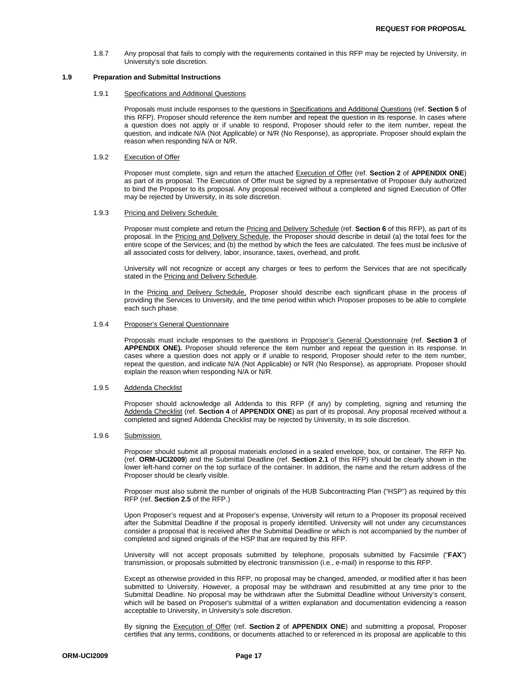1.8.7 Any proposal that fails to comply with the requirements contained in this RFP may be rejected by University, in University's sole discretion.

#### **1.9 Preparation and Submittal Instructions**

#### 1.9.1 Specifications and Additional Questions

Proposals must include responses to the questions in Specifications and Additional Questions (ref. **Section 5** of this RFP). Proposer should reference the item number and repeat the question in its response. In cases where a question does not apply or if unable to respond, Proposer should refer to the item number, repeat the question, and indicate N/A (Not Applicable) or N/R (No Response), as appropriate. Proposer should explain the reason when responding N/A or N/R.

#### 1.9.2 Execution of Offer

Proposer must complete, sign and return the attached Execution of Offer (ref. **Section 2** of **APPENDIX ONE**) as part of its proposal. The Execution of Offer must be signed by a representative of Proposer duly authorized to bind the Proposer to its proposal. Any proposal received without a completed and signed Execution of Offer may be rejected by University, in its sole discretion.

#### 1.9.3 Pricing and Delivery Schedule

Proposer must complete and return the Pricing and Delivery Schedule (ref. **Section 6** of this RFP), as part of its proposal. In the Pricing and Delivery Schedule, the Proposer should describe in detail (a) the total fees for the entire scope of the Services; and (b) the method by which the fees are calculated. The fees must be inclusive of all associated costs for delivery, labor, insurance, taxes, overhead, and profit.

University will not recognize or accept any charges or fees to perform the Services that are not specifically stated in the Pricing and Delivery Schedule.

In the Pricing and Delivery Schedule, Proposer should describe each significant phase in the process of providing the Services to University, and the time period within which Proposer proposes to be able to complete each such phase.

#### 1.9.4 Proposer's General Questionnaire

Proposals must include responses to the questions in Proposer's General Questionnaire (ref. **Section 3** of **APPENDIX ONE).** Proposer should reference the item number and repeat the question in its response. In cases where a question does not apply or if unable to respond, Proposer should refer to the item number, repeat the question, and indicate N/A (Not Applicable) or N/R (No Response), as appropriate. Proposer should explain the reason when responding N/A or N/R.

#### 1.9.5 Addenda Checklist

Proposer should acknowledge all Addenda to this RFP (if any) by completing, signing and returning the Addenda Checklist (ref. **Section 4** of **APPENDIX ONE**) as part of its proposal. Any proposal received without a completed and signed Addenda Checklist may be rejected by University, in its sole discretion.

#### 1.9.6 Submission

Proposer should submit all proposal materials enclosed in a sealed envelope, box, or container. The RFP No. (ref. **ORM-UCI2009**) and the Submittal Deadline (ref. **Section 2.1** of this RFP) should be clearly shown in the lower left-hand corner on the top surface of the container. In addition, the name and the return address of the Proposer should be clearly visible.

Proposer must also submit the number of originals of the HUB Subcontracting Plan ("HSP") as required by this RFP (ref. **Section 2.5** of the RFP.)

Upon Proposer's request and at Proposer's expense, University will return to a Proposer its proposal received after the Submittal Deadline if the proposal is properly identified. University will not under any circumstances consider a proposal that is received after the Submittal Deadline or which is not accompanied by the number of completed and signed originals of the HSP that are required by this RFP.

University will not accept proposals submitted by telephone, proposals submitted by Facsimile ("**FAX**") transmission, or proposals submitted by electronic transmission (i.e., e-mail) in response to this RFP.

Except as otherwise provided in this RFP, no proposal may be changed, amended, or modified after it has been submitted to University. However, a proposal may be withdrawn and resubmitted at any time prior to the Submittal Deadline. No proposal may be withdrawn after the Submittal Deadline without University's consent, which will be based on Proposer's submittal of a written explanation and documentation evidencing a reason acceptable to University, in University's sole discretion.

By signing the Execution of Offer (ref. **Section 2** of **APPENDIX ONE**) and submitting a proposal, Proposer certifies that any terms, conditions, or documents attached to or referenced in its proposal are applicable to this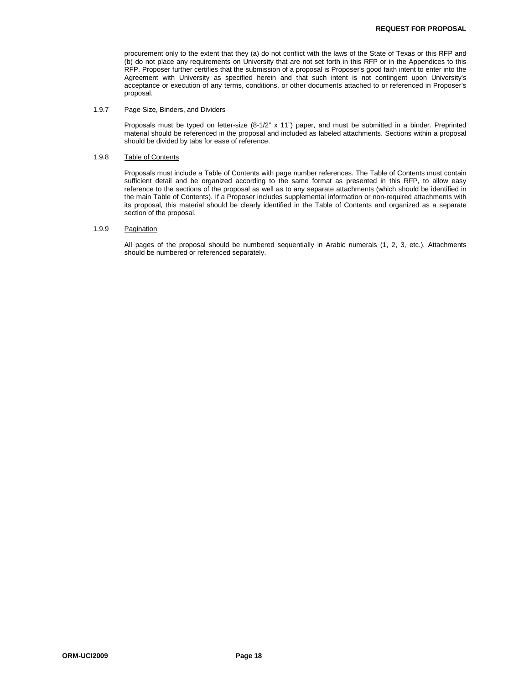procurement only to the extent that they (a) do not conflict with the laws of the State of Texas or this RFP and (b) do not place any requirements on University that are not set forth in this RFP or in the Appendices to this RFP. Proposer further certifies that the submission of a proposal is Proposer's good faith intent to enter into the Agreement with University as specified herein and that such intent is not contingent upon University's acceptance or execution of any terms, conditions, or other documents attached to or referenced in Proposer's proposal.

#### 1.9.7 Page Size, Binders, and Dividers

Proposals must be typed on letter-size (8-1/2" x 11") paper, and must be submitted in a binder. Preprinted material should be referenced in the proposal and included as labeled attachments. Sections within a proposal should be divided by tabs for ease of reference.

#### 1.9.8 Table of Contents

Proposals must include a Table of Contents with page number references. The Table of Contents must contain sufficient detail and be organized according to the same format as presented in this RFP, to allow easy reference to the sections of the proposal as well as to any separate attachments (which should be identified in the main Table of Contents). If a Proposer includes supplemental information or non-required attachments with its proposal, this material should be clearly identified in the Table of Contents and organized as a separate section of the proposal.

#### 1.9.9 Pagination

All pages of the proposal should be numbered sequentially in Arabic numerals (1, 2, 3, etc.). Attachments should be numbered or referenced separately.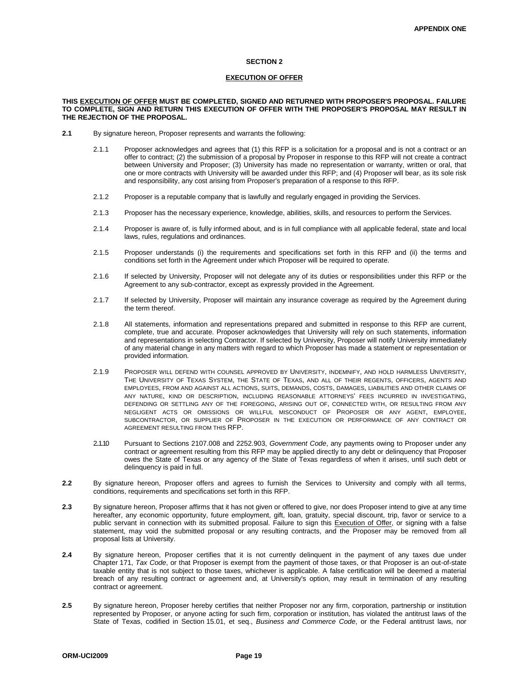#### **SECTION 2**

#### **EXECUTION OF OFFER**

#### **THIS EXECUTION OF OFFER MUST BE COMPLETED, SIGNED AND RETURNED WITH PROPOSER'S PROPOSAL. FAILURE TO COMPLETE, SIGN AND RETURN THIS EXECUTION OF OFFER WITH THE PROPOSER'S PROPOSAL MAY RESULT IN THE REJECTION OF THE PROPOSAL.**

- **2.1** By signature hereon, Proposer represents and warrants the following:
	- 2.1.1 Proposer acknowledges and agrees that (1) this RFP is a solicitation for a proposal and is not a contract or an offer to contract; (2) the submission of a proposal by Proposer in response to this RFP will not create a contract between University and Proposer; (3) University has made no representation or warranty, written or oral, that one or more contracts with University will be awarded under this RFP; and (4) Proposer will bear, as its sole risk and responsibility, any cost arising from Proposer's preparation of a response to this RFP.
	- 2.1.2 Proposer is a reputable company that is lawfully and regularly engaged in providing the Services.
	- 2.1.3 Proposer has the necessary experience, knowledge, abilities, skills, and resources to perform the Services.
	- 2.1.4 Proposer is aware of, is fully informed about, and is in full compliance with all applicable federal, state and local laws, rules, regulations and ordinances.
	- 2.1.5 Proposer understands (i) the requirements and specifications set forth in this RFP and (ii) the terms and conditions set forth in the Agreement under which Proposer will be required to operate.
	- 2.1.6 If selected by University, Proposer will not delegate any of its duties or responsibilities under this RFP or the Agreement to any sub-contractor, except as expressly provided in the Agreement.
	- 2.1.7 If selected by University, Proposer will maintain any insurance coverage as required by the Agreement during the term thereof.
	- 2.1.8 All statements, information and representations prepared and submitted in response to this RFP are current, complete, true and accurate. Proposer acknowledges that University will rely on such statements, information and representations in selecting Contractor. If selected by University, Proposer will notify University immediately of any material change in any matters with regard to which Proposer has made a statement or representation or provided information.
	- 2.1.9 PROPOSER WILL DEFEND WITH COUNSEL APPROVED BY UNIVERSITY, INDEMNIFY, AND HOLD HARMLESS UNIVERSITY, THE UNIVERSITY OF TEXAS SYSTEM, THE STATE OF TEXAS, AND ALL OF THEIR REGENTS, OFFICERS, AGENTS AND EMPLOYEES, FROM AND AGAINST ALL ACTIONS, SUITS, DEMANDS, COSTS, DAMAGES, LIABILITIES AND OTHER CLAIMS OF ANY NATURE, KIND OR DESCRIPTION, INCLUDING REASONABLE ATTORNEYS' FEES INCURRED IN INVESTIGATING, DEFENDING OR SETTLING ANY OF THE FOREGOING, ARISING OUT OF, CONNECTED WITH, OR RESULTING FROM ANY NEGLIGENT ACTS OR OMISSIONS OR WILLFUL MISCONDUCT OF PROPOSER OR ANY AGENT, EMPLOYEE, SUBCONTRACTOR, OR SUPPLIER OF PROPOSER IN THE EXECUTION OR PERFORMANCE OF ANY CONTRACT OR AGREEMENT RESULTING FROM THIS RFP.
	- 2.1.10 Pursuant to Sections 2107.008 and 2252.903, *Government Code*, any payments owing to Proposer under any contract or agreement resulting from this RFP may be applied directly to any debt or delinquency that Proposer owes the State of Texas or any agency of the State of Texas regardless of when it arises, until such debt or delinquency is paid in full.
- **2.2** By signature hereon, Proposer offers and agrees to furnish the Services to University and comply with all terms, conditions, requirements and specifications set forth in this RFP.
- **2.3** By signature hereon, Proposer affirms that it has not given or offered to give, nor does Proposer intend to give at any time hereafter, any economic opportunity, future employment, gift, loan, gratuity, special discount, trip, favor or service to a public servant in connection with its submitted proposal. Failure to sign this Execution of Offer, or signing with a false statement, may void the submitted proposal or any resulting contracts, and the Proposer may be removed from all proposal lists at University.
- **2.4** By signature hereon, Proposer certifies that it is not currently delinquent in the payment of any taxes due under Chapter 171, *Tax Code*, or that Proposer is exempt from the payment of those taxes, or that Proposer is an out-of-state taxable entity that is not subject to those taxes, whichever is applicable. A false certification will be deemed a material breach of any resulting contract or agreement and, at University's option, may result in termination of any resulting contract or agreement.
- **2.5** By signature hereon, Proposer hereby certifies that neither Proposer nor any firm, corporation, partnership or institution represented by Proposer, or anyone acting for such firm, corporation or institution, has violated the antitrust laws of the State of Texas, codified in Section 15.01, et seq., *Business and Commerce Code*, or the Federal antitrust laws, nor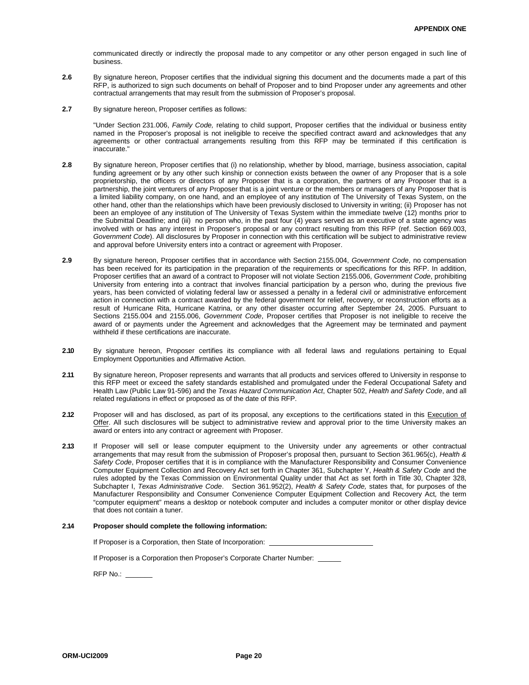communicated directly or indirectly the proposal made to any competitor or any other person engaged in such line of business.

- **2.6** By signature hereon, Proposer certifies that the individual signing this document and the documents made a part of this RFP, is authorized to sign such documents on behalf of Proposer and to bind Proposer under any agreements and other contractual arrangements that may result from the submission of Proposer's proposal.
- **2.7** By signature hereon, Proposer certifies as follows:

"Under Section 231.006, *Family Code,* relating to child support, Proposer certifies that the individual or business entity named in the Proposer's proposal is not ineligible to receive the specified contract award and acknowledges that any agreements or other contractual arrangements resulting from this RFP may be terminated if this certification is inaccurate."

- **2.8** By signature hereon, Proposer certifies that (i) no relationship, whether by blood, marriage, business association, capital funding agreement or by any other such kinship or connection exists between the owner of any Proposer that is a sole proprietorship, the officers or directors of any Proposer that is a corporation, the partners of any Proposer that is a partnership, the joint venturers of any Proposer that is a joint venture or the members or managers of any Proposer that is a limited liability company, on one hand, and an employee of any institution of The University of Texas System, on the other hand, other than the relationships which have been previously disclosed to University in writing; (ii) Proposer has not been an employee of any institution of The University of Texas System within the immediate twelve (12) months prior to the Submittal Deadline; and (iii) no person who, in the past four (4) years served as an executive of a state agency was involved with or has any interest in Proposer's proposal or any contract resulting from this RFP (ref. Section 669.003, *Government Code*). All disclosures by Proposer in connection with this certification will be subject to administrative review and approval before University enters into a contract or agreement with Proposer.
- **2.9** By signature hereon, Proposer certifies that in accordance with Section 2155.004, *Government Code*, no compensation has been received for its participation in the preparation of the requirements or specifications for this RFP. In addition, Proposer certifies that an award of a contract to Proposer will not violate Section 2155.006, *Government Code*, prohibiting University from entering into a contract that involves financial participation by a person who, during the previous five years, has been convicted of violating federal law or assessed a penalty in a federal civil or administrative enforcement action in connection with a contract awarded by the federal government for relief, recovery, or reconstruction efforts as a result of Hurricane Rita, Hurricane Katrina, or any other disaster occurring after September 24, 2005. Pursuant to Sections 2155.004 and 2155.006, *Government Code*, Proposer certifies that Proposer is not ineligible to receive the award of or payments under the Agreement and acknowledges that the Agreement may be terminated and payment withheld if these certifications are inaccurate.
- **2 .10** By signature hereon, Proposer certifies its compliance with all federal laws and regulations pertaining to Equal Employment Opportunities and Affirmative Action.
- **2 .11** By signature hereon, Proposer represents and warrants that all products and services offered to University in response to this RFP meet or exceed the safety standards established and promulgated under the Federal Occupational Safety and Health Law (Public Law 91-596) and the *Texas Hazard Communication Act*, Chapter 502, *Health and Safety Code*, and all related regulations in effect or proposed as of the date of this RFP.
- 2.12 Proposer will and has disclosed, as part of its proposal, any exceptions to the certifications stated in this Execution of Offer. All such disclosures will be subject to administrative review and approval prior to the time University makes an award or enters into any contract or agreement with Proposer.
- **2 .13** If Proposer will sell or lease computer equipment to the University under any agreements or other contractual arrangements that may result from the submission of Proposer's proposal then, pursuant to Section 361.965(c), *Health & Safety Code*, Proposer certifies that it is in compliance with the Manufacturer Responsibility and Consumer Convenience Computer Equipment Collection and Recovery Act set forth in Chapter 361, Subchapter Y, *Health & Safety Code* and the rules adopted by the Texas Commission on Environmental Quality under that Act as set forth in Title 30, Chapter 328, Subchapter I, *Texas Administrative Code*. Section 361.952(2), *Health & Safety Code,* states that, for purposes of the Manufacturer Responsibility and Consumer Convenience Computer Equipment Collection and Recovery Act*,* the term "computer equipment" means a desktop or notebook computer and includes a computer monitor or other display device that does not contain a tuner.

#### **2 .14 Proposer should complete the following information:**

If Proposer is a Corporation, then State of Incorporation:

If Proposer is a Corporation then Proposer's Corporate Charter Number: \_

RFP No.: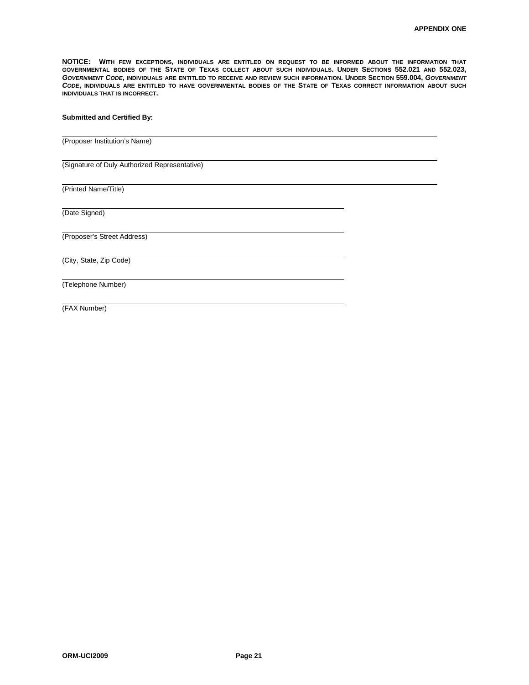**NOTICE: WITH FEW EXCEPTIONS, INDIVIDUALS ARE ENTITLED ON REQUEST TO BE INFORMED ABOUT THE INFORMATION THAT GOVERNMENTAL BODIES OF THE STATE OF TEXAS COLLECT ABOUT SUCH INDIVIDUALS. UNDER SECTIONS 552.021 AND 552.023,** *GOVERNMENT CODE***, INDIVIDUALS ARE ENTITLED TO RECEIVE AND REVIEW SUCH INFORMATION. UNDER SECTION 559.004,** *GOVERNMENT CODE***, INDIVIDUALS ARE ENTITLED TO HAVE GOVERNMENTAL BODIES OF THE STATE OF TEXAS CORRECT INFORMATION ABOUT SUCH INDIVIDUALS THAT IS INCORRECT.**

#### **Submitted and Certified By:**

(Proposer Institution's Name)

(Signature of Duly Authorized Representative)

(Printed Name/Title)

(Date Signed)

(Proposer's Street Address)

(City, State, Zip Code)

(Telephone Number)

(FAX Number)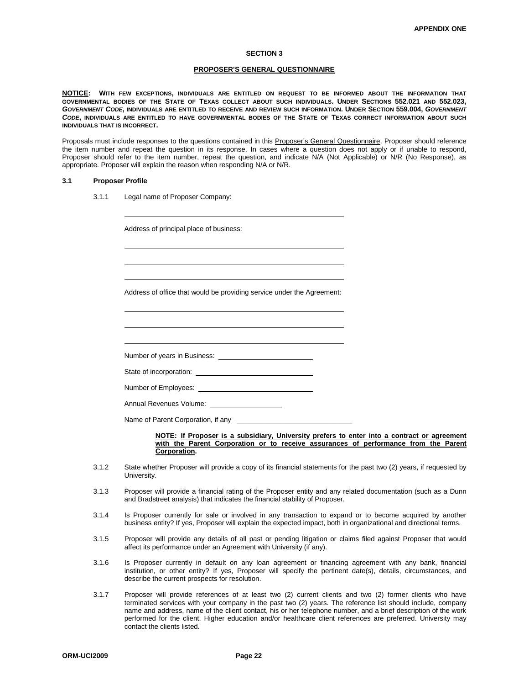#### **SECTION 3**

#### **PROPOSER'S GENERAL QUESTIONNAIRE**

**NOTICE: WITH FEW EXCEPTIONS, INDIVIDUALS ARE ENTITLED ON REQUEST TO BE INFORMED ABOUT THE INFORMATION THAT GOVERNMENTAL BODIES OF THE STATE OF TEXAS COLLECT ABOUT SUCH INDIVIDUALS. UNDER SECTIONS 552.021 AND 552.023,** *GOVERNMENT CODE***, INDIVIDUALS ARE ENTITLED TO RECEIVE AND REVIEW SUCH INFORMATION. UNDER SECTION 559.004,** *GOVERNMENT CODE***, INDIVIDUALS ARE ENTITLED TO HAVE GOVERNMENTAL BODIES OF THE STATE OF TEXAS CORRECT INFORMATION ABOUT SUCH INDIVIDUALS THAT IS INCORRECT.**

Proposals must include responses to the questions contained in this Proposer's General Questionnaire. Proposer should reference the item number and repeat the question in its response. In cases where a question does not apply or if unable to respond, Proposer should refer to the item number, repeat the question, and indicate N/A (Not Applicable) or N/R (No Response), as appropriate. Proposer will explain the reason when responding N/A or N/R.

#### **3.1 Proposer Profile**

3.1.1 Legal name of Proposer Company:

Address of principal place of business:

Address of office that would be providing service under the Agreement:

Number of years in Business:

State of incorporation: \_

Number of Employees:

Annual Revenues Volume:

Name of Parent Corporation, if any

#### **NOTE: If Proposer is a subsidiary, University prefers to enter into a contract or agreement**  with the Parent Corporation or to receive assurances of performance from the Parent **Corporation.**

- 3.1.2 State whether Proposer will provide a copy of its financial statements for the past two (2) years, if requested by University.
- 3.1.3 Proposer will provide a financial rating of the Proposer entity and any related documentation (such as a Dunn and Bradstreet analysis) that indicates the financial stability of Proposer.
- 3.1.4 Is Proposer currently for sale or involved in any transaction to expand or to become acquired by another business entity? If yes, Proposer will explain the expected impact, both in organizational and directional terms.
- 3.1.5 Proposer will provide any details of all past or pending litigation or claims filed against Proposer that would affect its performance under an Agreement with University (if any).
- 3.1.6 Is Proposer currently in default on any loan agreement or financing agreement with any bank, financial institution, or other entity? If yes, Proposer will specify the pertinent date(s), details, circumstances, and describe the current prospects for resolution.
- 3.1.7 Proposer will provide references of at least two (2) current clients and two (2) former clients who have terminated services with your company in the past two (2) years. The reference list should include, company name and address, name of the client contact, his or her telephone number, and a brief description of the work performed for the client. Higher education and/or healthcare client references are preferred. University may contact the clients listed.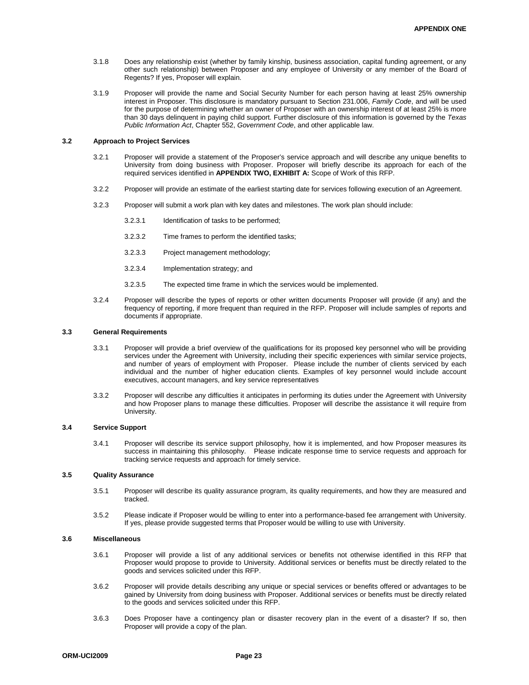- 3.1.8 Does any relationship exist (whether by family kinship, business association, capital funding agreement, or any other such relationship) between Proposer and any employee of University or any member of the Board of Regents? If yes, Proposer will explain.
- 3.1.9 Proposer will provide the name and Social Security Number for each person having at least 25% ownership interest in Proposer. This disclosure is mandatory pursuant to Section 231.006, *Family Code*, and will be used for the purpose of determining whether an owner of Proposer with an ownership interest of at least 25% is more than 30 days delinquent in paying child support. Further disclosure of this information is governed by the *Texas Public Information Act*, Chapter 552, *Government Code*, and other applicable law.

#### **3.2 Approach to Project Services**

- 3.2.1 Proposer will provide a statement of the Proposer's service approach and will describe any unique benefits to University from doing business with Proposer. Proposer will briefly describe its approach for each of the required services identified in **APPENDIX TWO, EXHIBIT A:** Scope of Work of this RFP.
- 3.2.2 Proposer will provide an estimate of the earliest starting date for services following execution of an Agreement.
- 3.2.3 Proposer will submit a work plan with key dates and milestones. The work plan should include:
	- 3.2.3.1 Identification of tasks to be performed;
	- 3.2.3.2 Time frames to perform the identified tasks;
	- 3.2.3.3 Project management methodology;
	- 3.2.3.4 Implementation strategy; and
	- 3.2.3.5 The expected time frame in which the services would be implemented.
- 3.2.4 Proposer will describe the types of reports or other written documents Proposer will provide (if any) and the frequency of reporting, if more frequent than required in the RFP. Proposer will include samples of reports and documents if appropriate.

#### **3.3 General Requirements**

- 3.3.1 Proposer will provide a brief overview of the qualifications for its proposed key personnel who will be providing services under the Agreement with University, including their specific experiences with similar service projects, and number of years of employment with Proposer. Please include the number of clients serviced by each individual and the number of higher education clients. Examples of key personnel would include account executives, account managers, and key service representatives
- 3.3.2 Proposer will describe any difficulties it anticipates in performing its duties under the Agreement with University and how Proposer plans to manage these difficulties. Proposer will describe the assistance it will require from University.

#### **3.4 Service Support**

3.4.1 Proposer will describe its service support philosophy, how it is implemented, and how Proposer measures its success in maintaining this philosophy. Please indicate response time to service requests and approach for tracking service requests and approach for timely service.

#### **3.5 Quality Assurance**

- 3.5.1 Proposer will describe its quality assurance program, its quality requirements, and how they are measured and tracked.
- 3.5.2 Please indicate if Proposer would be willing to enter into a performance-based fee arrangement with University. If yes, please provide suggested terms that Proposer would be willing to use with University.

#### **3.6 Miscellaneous**

- 3.6.1 Proposer will provide a list of any additional services or benefits not otherwise identified in this RFP that Proposer would propose to provide to University. Additional services or benefits must be directly related to the goods and services solicited under this RFP.
- 3.6.2 Proposer will provide details describing any unique or special services or benefits offered or advantages to be gained by University from doing business with Proposer. Additional services or benefits must be directly related to the goods and services solicited under this RFP.
- 3.6.3 Does Proposer have a contingency plan or disaster recovery plan in the event of a disaster? If so, then Proposer will provide a copy of the plan.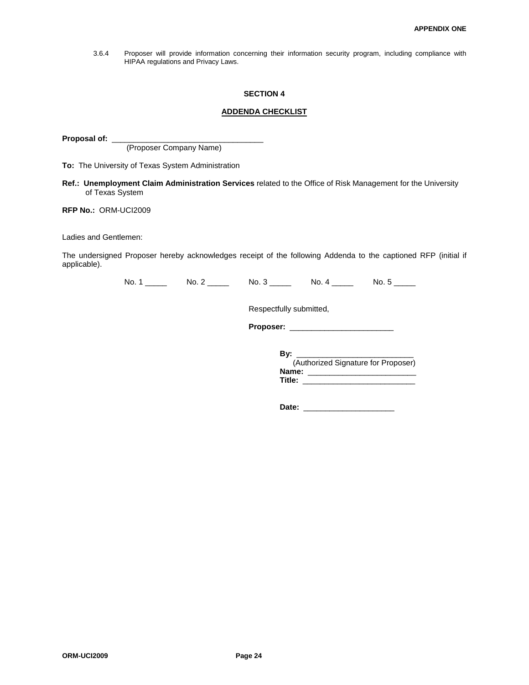3.6.4 Proposer will provide information concerning their information security program, including compliance with HIPAA regulations and Privacy Laws.

#### **SECTION 4**

#### **ADDENDA CHECKLIST**

Proposal of: \_\_

(Proposer Company Name)

**To:** The University of Texas System Administration

**Ref.: Unemployment Claim Administration Services** related to the Office of Risk Management for the University of Texas System

#### **RFP No.:** ORM-UCI2009

Ladies and Gentlemen:

The undersigned Proposer hereby acknowledges receipt of the following Addenda to the captioned RFP (initial if applicable).

No. 1 \_\_\_\_\_ No. 2 \_\_\_\_\_ No. 3 \_\_\_\_\_ No. 4 \_\_\_\_\_ No. 5 \_\_\_\_

Respectfully submitted,

**Proposer:** \_\_\_\_\_\_\_\_\_\_\_\_\_\_\_\_\_\_\_\_\_\_\_\_

**By:** \_\_\_\_\_\_\_\_\_\_\_\_\_\_\_\_\_\_\_\_\_\_\_\_\_\_\_ (Authorized Signature for Proposer) **Name:** \_\_\_\_\_\_\_\_\_\_\_\_\_\_\_\_\_\_\_\_\_\_\_\_\_ **Title:** \_\_\_\_\_\_\_\_\_\_\_\_\_\_\_\_\_\_\_\_\_\_\_\_\_\_

**Date:** \_\_\_\_\_\_\_\_\_\_\_\_\_\_\_\_\_\_\_\_\_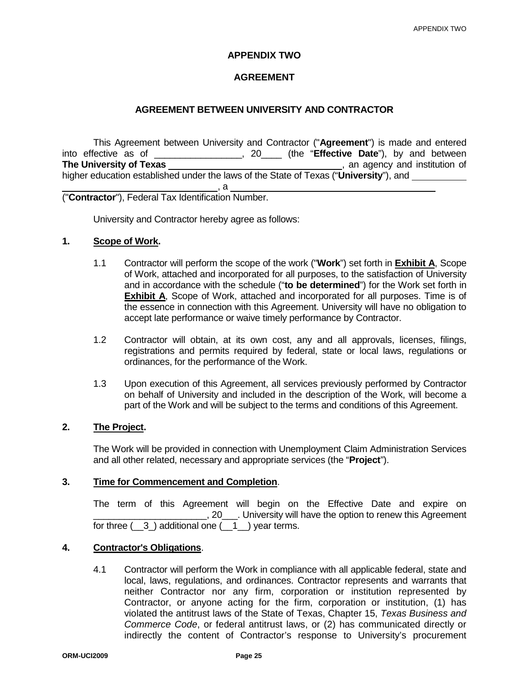### **APPENDIX TWO**

### **AGREEMENT**

### **AGREEMENT BETWEEN UNIVERSITY AND CONTRACTOR**

This Agreement between University and Contractor ("**Agreement**") is made and entered into effective as of \_\_\_\_\_\_\_\_\_\_\_\_\_\_\_, 20\_\_\_\_ (the "**Effective Date**"), by and between<br> **The University of Texas** \_\_\_\_\_\_\_\_\_\_ **The University of Texas CONSTRANGE CONSTRANGE CONSTRANGE CONSTRANGE CONSTRANGE CONSTRANGE CONSTRANGE CONSTRANGE CONSTRANGE CONSTRANGE CONSTRANGE CONSTRANGE CONSTRANGE CONSTRANGE CONSTRANGE CONSTRANGE CONSTRANGE CONSTRAN** higher education established under the laws of the State of Texas ("**University**"), and  $\overline{\phantom{a}}$ , a

("**Contractor**"), Federal Tax Identification Number.

University and Contractor hereby agree as follows:

### **1. Scope of Work.**

- 1.1 Contractor will perform the scope of the work ("**Work**") set forth in **Exhibit A**, Scope of Work, attached and incorporated for all purposes, to the satisfaction of University and in accordance with the schedule ("**to be determined**") for the Work set forth in **Exhibit A**, Scope of Work, attached and incorporated for all purposes. Time is of the essence in connection with this Agreement. University will have no obligation to accept late performance or waive timely performance by Contractor.
- 1.2 Contractor will obtain, at its own cost, any and all approvals, licenses, filings, registrations and permits required by federal, state or local laws, regulations or ordinances, for the performance of the Work.
- 1.3 Upon execution of this Agreement, all services previously performed by Contractor on behalf of University and included in the description of the Work, will become a part of the Work and will be subject to the terms and conditions of this Agreement.

### **2. The Project.**

The Work will be provided in connection with Unemployment Claim Administration Services and all other related, necessary and appropriate services (the "**Project**").

### **3. Time for Commencement and Completion**.

The term of this Agreement will begin on the Effective Date and expire on \_\_\_\_\_\_\_\_\_\_\_\_\_\_\_\_\_\_\_\_\_\_, 20\_\_\_. University will have the option to renew this Agreement for three  $(3)$  additional one  $(1)$  year terms.

### **4. Contractor's Obligations**.

4.1 Contractor will perform the Work in compliance with all applicable federal, state and local, laws, regulations, and ordinances. Contractor represents and warrants that neither Contractor nor any firm, corporation or institution represented by Contractor, or anyone acting for the firm, corporation or institution, (1) has violated the antitrust laws of the State of Texas, Chapter 15, *Texas Business and Commerce Code*, or federal antitrust laws, or (2) has communicated directly or indirectly the content of Contractor's response to University's procurement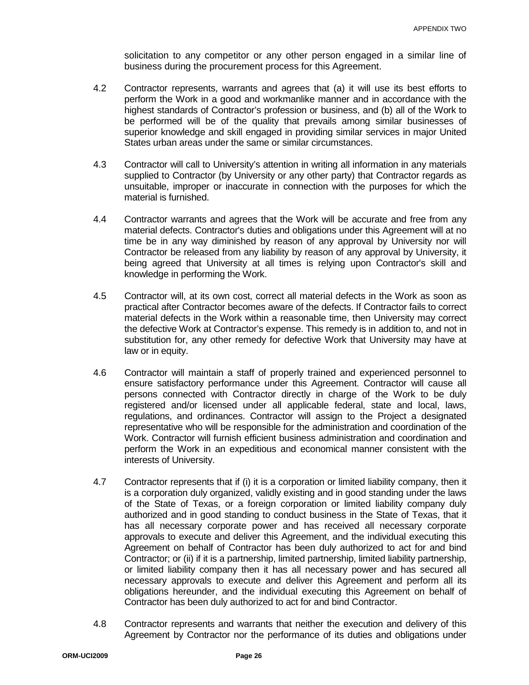solicitation to any competitor or any other person engaged in a similar line of business during the procurement process for this Agreement.

- 4.2 Contractor represents, warrants and agrees that (a) it will use its best efforts to perform the Work in a good and workmanlike manner and in accordance with the highest standards of Contractor's profession or business, and (b) all of the Work to be performed will be of the quality that prevails among similar businesses of superior knowledge and skill engaged in providing similar services in major United States urban areas under the same or similar circumstances.
- 4.3 Contractor will call to University's attention in writing all information in any materials supplied to Contractor (by University or any other party) that Contractor regards as unsuitable, improper or inaccurate in connection with the purposes for which the material is furnished.
- 4.4 Contractor warrants and agrees that the Work will be accurate and free from any material defects. Contractor's duties and obligations under this Agreement will at no time be in any way diminished by reason of any approval by University nor will Contractor be released from any liability by reason of any approval by University, it being agreed that University at all times is relying upon Contractor's skill and knowledge in performing the Work.
- 4.5 Contractor will, at its own cost, correct all material defects in the Work as soon as practical after Contractor becomes aware of the defects. If Contractor fails to correct material defects in the Work within a reasonable time, then University may correct the defective Work at Contractor's expense. This remedy is in addition to, and not in substitution for, any other remedy for defective Work that University may have at law or in equity.
- 4.6 Contractor will maintain a staff of properly trained and experienced personnel to ensure satisfactory performance under this Agreement. Contractor will cause all persons connected with Contractor directly in charge of the Work to be duly registered and/or licensed under all applicable federal, state and local, laws, regulations, and ordinances. Contractor will assign to the Project a designated representative who will be responsible for the administration and coordination of the Work. Contractor will furnish efficient business administration and coordination and perform the Work in an expeditious and economical manner consistent with the interests of University.
- 4.7 Contractor represents that if (i) it is a corporation or limited liability company, then it is a corporation duly organized, validly existing and in good standing under the laws of the State of Texas, or a foreign corporation or limited liability company duly authorized and in good standing to conduct business in the State of Texas, that it has all necessary corporate power and has received all necessary corporate approvals to execute and deliver this Agreement, and the individual executing this Agreement on behalf of Contractor has been duly authorized to act for and bind Contractor; or (ii) if it is a partnership, limited partnership, limited liability partnership, or limited liability company then it has all necessary power and has secured all necessary approvals to execute and deliver this Agreement and perform all its obligations hereunder, and the individual executing this Agreement on behalf of Contractor has been duly authorized to act for and bind Contractor.
- 4.8 Contractor represents and warrants that neither the execution and delivery of this Agreement by Contractor nor the performance of its duties and obligations under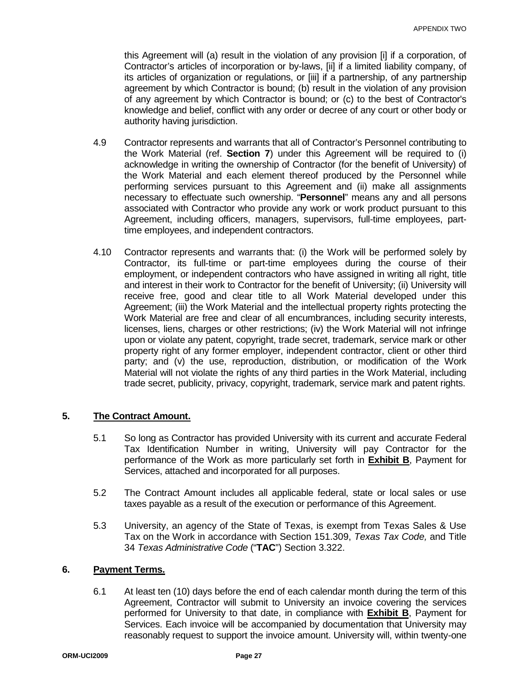this Agreement will (a) result in the violation of any provision [i] if a corporation, of Contractor's articles of incorporation or by-laws, [ii] if a limited liability company, of its articles of organization or regulations, or [iii] if a partnership, of any partnership agreement by which Contractor is bound; (b) result in the violation of any provision of any agreement by which Contractor is bound; or (c) to the best of Contractor's knowledge and belief, conflict with any order or decree of any court or other body or authority having jurisdiction.

- 4.9 Contractor represents and warrants that all of Contractor's Personnel contributing to the Work Material (ref. **Section 7**) under this Agreement will be required to (i) acknowledge in writing the ownership of Contractor (for the benefit of University) of the Work Material and each element thereof produced by the Personnel while performing services pursuant to this Agreement and (ii) make all assignments necessary to effectuate such ownership. "**Personnel**" means any and all persons associated with Contractor who provide any work or work product pursuant to this Agreement, including officers, managers, supervisors, full-time employees, parttime employees, and independent contractors.
- 4.10 Contractor represents and warrants that: (i) the Work will be performed solely by Contractor, its full-time or part-time employees during the course of their employment, or independent contractors who have assigned in writing all right, title and interest in their work to Contractor for the benefit of University; (ii) University will receive free, good and clear title to all Work Material developed under this Agreement; (iii) the Work Material and the intellectual property rights protecting the Work Material are free and clear of all encumbrances, including security interests, licenses, liens, charges or other restrictions; (iv) the Work Material will not infringe upon or violate any patent, copyright, trade secret, trademark, service mark or other property right of any former employer, independent contractor, client or other third party; and (v) the use, reproduction, distribution, or modification of the Work Material will not violate the rights of any third parties in the Work Material, including trade secret, publicity, privacy, copyright, trademark, service mark and patent rights.

### **5. The Contract Amount.**

- 5.1 So long as Contractor has provided University with its current and accurate Federal Tax Identification Number in writing, University will pay Contractor for the performance of the Work as more particularly set forth in **Exhibit B**, Payment for Services, attached and incorporated for all purposes.
- 5.2 The Contract Amount includes all applicable federal, state or local sales or use taxes payable as a result of the execution or performance of this Agreement.
- 5.3 University, an agency of the State of Texas, is exempt from Texas Sales & Use Tax on the Work in accordance with Section 151.309, *Texas Tax Code,* and Title 34 *Texas Administrative Code* ("**TAC**") Section 3.322.

### **6. Payment Terms.**

6.1 At least ten (10) days before the end of each calendar month during the term of this Agreement, Contractor will submit to University an invoice covering the services performed for University to that date, in compliance with **Exhibit B**, Payment for Services. Each invoice will be accompanied by documentation that University may reasonably request to support the invoice amount. University will, within twenty-one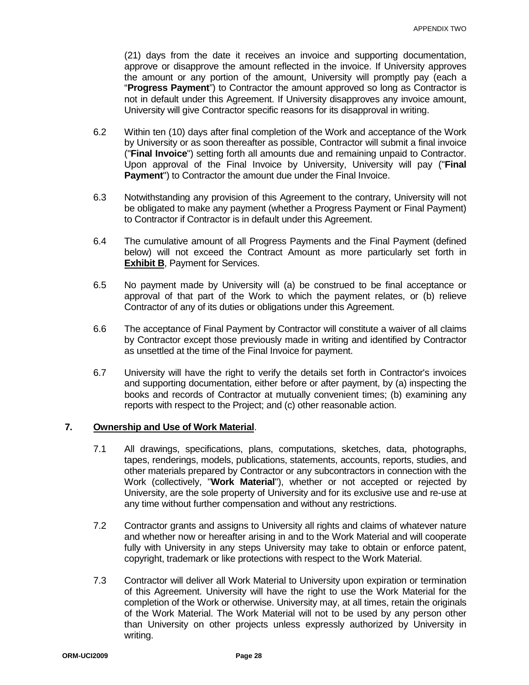(21) days from the date it receives an invoice and supporting documentation, approve or disapprove the amount reflected in the invoice. If University approves the amount or any portion of the amount, University will promptly pay (each a "**Progress Payment**") to Contractor the amount approved so long as Contractor is not in default under this Agreement. If University disapproves any invoice amount, University will give Contractor specific reasons for its disapproval in writing.

- 6.2 Within ten (10) days after final completion of the Work and acceptance of the Work by University or as soon thereafter as possible, Contractor will submit a final invoice ("**Final Invoice**") setting forth all amounts due and remaining unpaid to Contractor. Upon approval of the Final Invoice by University, University will pay ("**Final Payment**") to Contractor the amount due under the Final Invoice.
- 6.3 Notwithstanding any provision of this Agreement to the contrary, University will not be obligated to make any payment (whether a Progress Payment or Final Payment) to Contractor if Contractor is in default under this Agreement.
- 6.4 The cumulative amount of all Progress Payments and the Final Payment (defined below) will not exceed the Contract Amount as more particularly set forth in **Exhibit B**, Payment for Services.
- 6.5 No payment made by University will (a) be construed to be final acceptance or approval of that part of the Work to which the payment relates, or (b) relieve Contractor of any of its duties or obligations under this Agreement.
- 6.6 The acceptance of Final Payment by Contractor will constitute a waiver of all claims by Contractor except those previously made in writing and identified by Contractor as unsettled at the time of the Final Invoice for payment.
- 6.7 University will have the right to verify the details set forth in Contractor's invoices and supporting documentation, either before or after payment, by (a) inspecting the books and records of Contractor at mutually convenient times; (b) examining any reports with respect to the Project; and (c) other reasonable action.

### **7. Ownership and Use of Work Material**.

- 7.1 All drawings, specifications, plans, computations, sketches, data, photographs, tapes, renderings, models, publications, statements, accounts, reports, studies, and other materials prepared by Contractor or any subcontractors in connection with the Work (collectively, "**Work Material**"), whether or not accepted or rejected by University, are the sole property of University and for its exclusive use and re-use at any time without further compensation and without any restrictions.
- 7.2 Contractor grants and assigns to University all rights and claims of whatever nature and whether now or hereafter arising in and to the Work Material and will cooperate fully with University in any steps University may take to obtain or enforce patent, copyright, trademark or like protections with respect to the Work Material.
- 7.3 Contractor will deliver all Work Material to University upon expiration or termination of this Agreement. University will have the right to use the Work Material for the completion of the Work or otherwise. University may, at all times, retain the originals of the Work Material. The Work Material will not to be used by any person other than University on other projects unless expressly authorized by University in writing.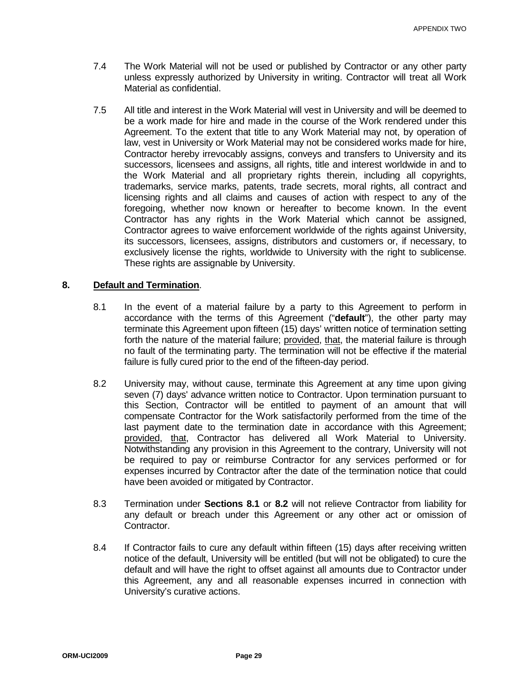- 7.4 The Work Material will not be used or published by Contractor or any other party unless expressly authorized by University in writing. Contractor will treat all Work Material as confidential.
- 7.5 All title and interest in the Work Material will vest in University and will be deemed to be a work made for hire and made in the course of the Work rendered under this Agreement. To the extent that title to any Work Material may not, by operation of law, vest in University or Work Material may not be considered works made for hire, Contractor hereby irrevocably assigns, conveys and transfers to University and its successors, licensees and assigns, all rights, title and interest worldwide in and to the Work Material and all proprietary rights therein, including all copyrights, trademarks, service marks, patents, trade secrets, moral rights, all contract and licensing rights and all claims and causes of action with respect to any of the foregoing, whether now known or hereafter to become known. In the event Contractor has any rights in the Work Material which cannot be assigned, Contractor agrees to waive enforcement worldwide of the rights against University, its successors, licensees, assigns, distributors and customers or, if necessary, to exclusively license the rights, worldwide to University with the right to sublicense. These rights are assignable by University.

### **8. Default and Termination**.

- 8.1 In the event of a material failure by a party to this Agreement to perform in accordance with the terms of this Agreement ("**default**"), the other party may terminate this Agreement upon fifteen (15) days' written notice of termination setting forth the nature of the material failure; provided, that, the material failure is through no fault of the terminating party. The termination will not be effective if the material failure is fully cured prior to the end of the fifteen-day period.
- 8.2 University may, without cause, terminate this Agreement at any time upon giving seven (7) days' advance written notice to Contractor. Upon termination pursuant to this Section, Contractor will be entitled to payment of an amount that will compensate Contractor for the Work satisfactorily performed from the time of the last payment date to the termination date in accordance with this Agreement; provided, that, Contractor has delivered all Work Material to University. Notwithstanding any provision in this Agreement to the contrary, University will not be required to pay or reimburse Contractor for any services performed or for expenses incurred by Contractor after the date of the termination notice that could have been avoided or mitigated by Contractor.
- 8.3 Termination under **Sections 8.1** or **8.2** will not relieve Contractor from liability for any default or breach under this Agreement or any other act or omission of Contractor.
- 8.4 If Contractor fails to cure any default within fifteen (15) days after receiving written notice of the default, University will be entitled (but will not be obligated) to cure the default and will have the right to offset against all amounts due to Contractor under this Agreement, any and all reasonable expenses incurred in connection with University's curative actions.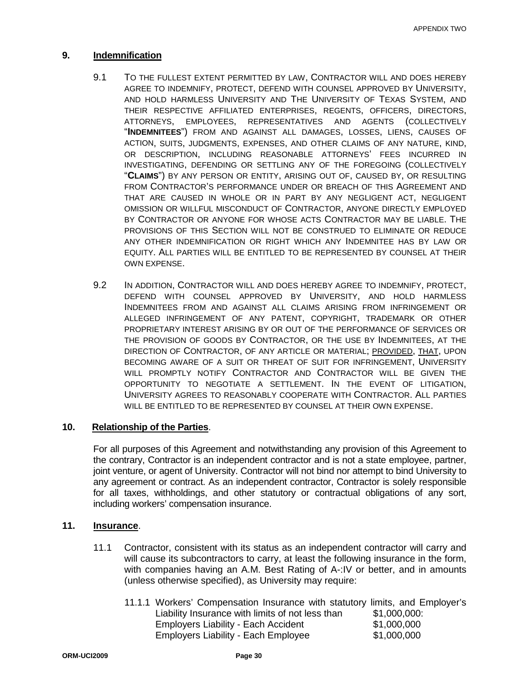### **9. Indemnification**

- 9.1 TO THE FULLEST EXTENT PERMITTED BY LAW, CONTRACTOR WILL AND DOES HEREBY AGREE TO INDEMNIFY, PROTECT, DEFEND WITH COUNSEL APPROVED BY UNIVERSITY, AND HOLD HARMLESS UNIVERSITY AND THE UNIVERSITY OF TEXAS SYSTEM, AND THEIR RESPECTIVE AFFILIATED ENTERPRISES, REGENTS, OFFICERS, DIRECTORS, ATTORNEYS, EMPLOYEES, REPRESENTATIVES AND AGENTS (COLLECTIVELY "**INDEMNITEES**") FROM AND AGAINST ALL DAMAGES, LOSSES, LIENS, CAUSES OF ACTION, SUITS, JUDGMENTS, EXPENSES, AND OTHER CLAIMS OF ANY NATURE, KIND, OR DESCRIPTION, INCLUDING REASONABLE ATTORNEYS' FEES INCURRED IN INVESTIGATING, DEFENDING OR SETTLING ANY OF THE FOREGOING (COLLECTIVELY "**CLAIMS**") BY ANY PERSON OR ENTITY, ARISING OUT OF, CAUSED BY, OR RESULTING FROM CONTRACTOR'S PERFORMANCE UNDER OR BREACH OF THIS AGREEMENT AND THAT ARE CAUSED IN WHOLE OR IN PART BY ANY NEGLIGENT ACT, NEGLIGENT OMISSION OR WILLFUL MISCONDUCT OF CONTRACTOR, ANYONE DIRECTLY EMPLOYED BY CONTRACTOR OR ANYONE FOR WHOSE ACTS CONTRACTOR MAY BE LIABLE. THE PROVISIONS OF THIS SECTION WILL NOT BE CONSTRUED TO ELIMINATE OR REDUCE ANY OTHER INDEMNIFICATION OR RIGHT WHICH ANY INDEMNITEE HAS BY LAW OR EQUITY. ALL PARTIES WILL BE ENTITLED TO BE REPRESENTED BY COUNSEL AT THEIR OWN EXPENSE.
- 9.2 IN ADDITION, CONTRACTOR WILL AND DOES HEREBY AGREE TO INDEMNIFY, PROTECT, DEFEND WITH COUNSEL APPROVED BY UNIVERSITY, AND HOLD HARMLESS INDEMNITEES FROM AND AGAINST ALL CLAIMS ARISING FROM INFRINGEMENT OR ALLEGED INFRINGEMENT OF ANY PATENT, COPYRIGHT, TRADEMARK OR OTHER PROPRIETARY INTEREST ARISING BY OR OUT OF THE PERFORMANCE OF SERVICES OR THE PROVISION OF GOODS BY CONTRACTOR, OR THE USE BY INDEMNITEES, AT THE DIRECTION OF CONTRACTOR, OF ANY ARTICLE OR MATERIAL; PROVIDED, THAT, UPON BECOMING AWARE OF A SUIT OR THREAT OF SUIT FOR INFRINGEMENT, UNIVERSITY WILL PROMPTLY NOTIFY CONTRACTOR AND CONTRACTOR WILL BE GIVEN THE OPPORTUNITY TO NEGOTIATE A SETTLEMENT. IN THE EVENT OF LITIGATION, UNIVERSITY AGREES TO REASONABLY COOPERATE WITH CONTRACTOR. ALL PARTIES WILL BE ENTITLED TO BE REPRESENTED BY COUNSEL AT THEIR OWN EXPENSE.

### **10. Relationship of the Parties**.

For all purposes of this Agreement and notwithstanding any provision of this Agreement to the contrary, Contractor is an independent contractor and is not a state employee, partner, joint venture, or agent of University. Contractor will not bind nor attempt to bind University to any agreement or contract. As an independent contractor, Contractor is solely responsible for all taxes, withholdings, and other statutory or contractual obligations of any sort, including workers' compensation insurance.

### **11. Insurance**.

- 11.1 Contractor, consistent with its status as an independent contractor will carry and will cause its subcontractors to carry, at least the following insurance in the form, with companies having an A.M. Best Rating of A-:IV or better, and in amounts (unless otherwise specified), as University may require:
	- 11.1.1 Workers' Compensation Insurance with statutory limits, and Employer's Liability Insurance with limits of not less than \$1,000,000: Liability Insurance with limits of not less than \$1,000,000:<br>Employers Liability - Each Accident \$1,000,000 Employers Liability - Each Accident \$1,000,000 Employers Liability - Each Employee \$1,000,000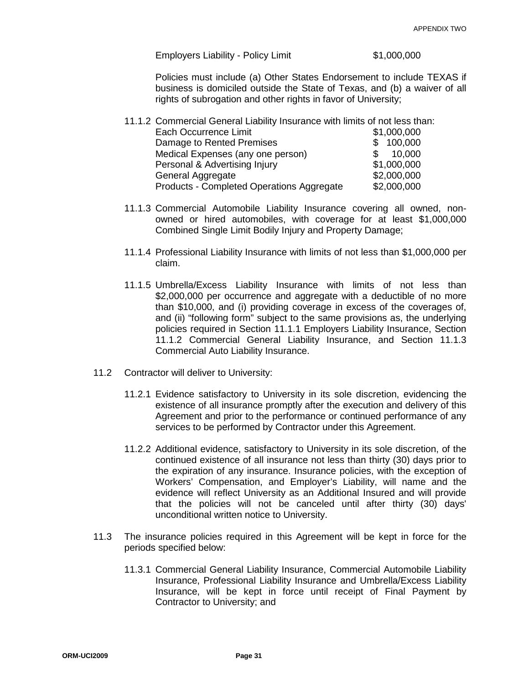Employers Liability - Policy Limit  $$1,000,000$ 

Policies must include (a) Other States Endorsement to include TEXAS if business is domiciled outside the State of Texas, and (b) a waiver of all rights of subrogation and other rights in favor of University;

| <b>Each Occurrence Limit</b>              | \$1,000,000 |
|-------------------------------------------|-------------|
| Damage to Rented Premises                 | \$100,000   |
| Medical Expenses (any one person)         | 10,000      |
| Personal & Advertising Injury             | \$1,000,000 |
| General Aggregate                         | \$2,000,000 |
| Products - Completed Operations Aggregate | \$2,000,000 |

- 11.1.3 Commercial Automobile Liability Insurance covering all owned, nonowned or hired automobiles, with coverage for at least \$1,000,000 Combined Single Limit Bodily Injury and Property Damage;
- 11.1.4 Professional Liability Insurance with limits of not less than \$1,000,000 per claim.
- 11.1.5 Umbrella/Excess Liability Insurance with limits of not less than \$2,000,000 per occurrence and aggregate with a deductible of no more than \$10,000, and (i) providing coverage in excess of the coverages of, and (ii) "following form" subject to the same provisions as, the underlying policies required in Section 11.1.1 Employers Liability Insurance, Section 11.1.2 Commercial General Liability Insurance, and Section 11.1.3 Commercial Auto Liability Insurance.
- 11.2 Contractor will deliver to University:
	- 11.2.1 Evidence satisfactory to University in its sole discretion, evidencing the existence of all insurance promptly after the execution and delivery of this Agreement and prior to the performance or continued performance of any services to be performed by Contractor under this Agreement.
	- 11.2.2 Additional evidence, satisfactory to University in its sole discretion, of the continued existence of all insurance not less than thirty (30) days prior to the expiration of any insurance. Insurance policies, with the exception of Workers' Compensation, and Employer's Liability, will name and the evidence will reflect University as an Additional Insured and will provide that the policies will not be canceled until after thirty (30) days' unconditional written notice to University.
- 11.3 The insurance policies required in this Agreement will be kept in force for the periods specified below:
	- 11.3.1 Commercial General Liability Insurance, Commercial Automobile Liability Insurance, Professional Liability Insurance and Umbrella/Excess Liability Insurance, will be kept in force until receipt of Final Payment by Contractor to University; and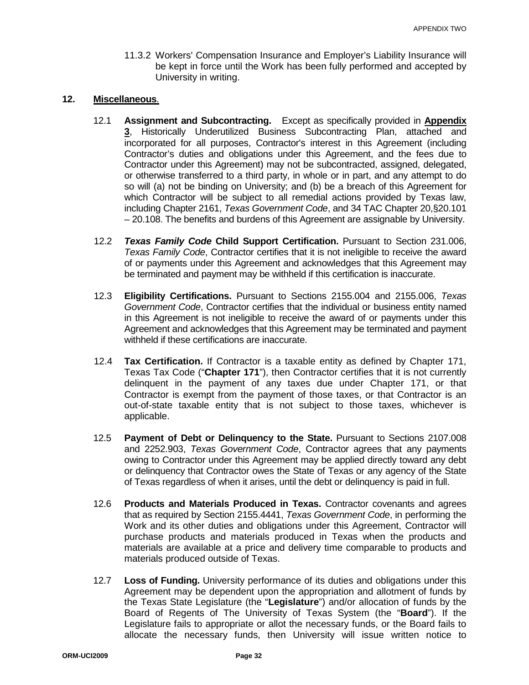11.3.2 Workers' Compensation Insurance and Employer's Liability Insurance will be kept in force until the Work has been fully performed and accepted by University in writing.

### **12. Miscellaneous**.

- 12.1 **Assignment and Subcontracting.** Except as specifically provided in **Appendix 3**, Historically Underutilized Business Subcontracting Plan, attached and incorporated for all purposes, Contractor's interest in this Agreement (including Contractor's duties and obligations under this Agreement, and the fees due to Contractor under this Agreement) may not be subcontracted, assigned, delegated, or otherwise transferred to a third party, in whole or in part, and any attempt to do so will (a) not be binding on University; and (b) be a breach of this Agreement for which Contractor will be subject to all remedial actions provided by Texas law, including Chapter 2161, *Texas Government Code*, and 34 TAC Chapter 20,§20.101 – 20.108. The benefits and burdens of this Agreement are assignable by University.
- 12.2 *Texas Family Code* **Child Support Certification.** Pursuant to Section 231.006, *Texas Family Code*, Contractor certifies that it is not ineligible to receive the award of or payments under this Agreement and acknowledges that this Agreement may be terminated and payment may be withheld if this certification is inaccurate.
- 12.3 **Eligibility Certifications.** Pursuant to Sections 2155.004 and 2155.006, *Texas Government Code*, Contractor certifies that the individual or business entity named in this Agreement is not ineligible to receive the award of or payments under this Agreement and acknowledges that this Agreement may be terminated and payment withheld if these certifications are inaccurate.
- 12.4 **Tax Certification.** If Contractor is a taxable entity as defined by Chapter 171, Texas Tax Code ("**Chapter 171**"), then Contractor certifies that it is not currently delinquent in the payment of any taxes due under Chapter 171, or that Contractor is exempt from the payment of those taxes, or that Contractor is an out-of-state taxable entity that is not subject to those taxes, whichever is applicable.
- 12.5 **Payment of Debt or Delinquency to the State.** Pursuant to Sections 2107.008 and 2252.903, *Texas Government Code*, Contractor agrees that any payments owing to Contractor under this Agreement may be applied directly toward any debt or delinquency that Contractor owes the State of Texas or any agency of the State of Texas regardless of when it arises, until the debt or delinquency is paid in full.
- 12.6 **Products and Materials Produced in Texas.** Contractor covenants and agrees that as required by Section 2155.4441, *Texas Government Code*, in performing the Work and its other duties and obligations under this Agreement, Contractor will purchase products and materials produced in Texas when the products and materials are available at a price and delivery time comparable to products and materials produced outside of Texas.
- 12.7 **Loss of Funding.** University performance of its duties and obligations under this Agreement may be dependent upon the appropriation and allotment of funds by the Texas State Legislature (the "**Legislature**") and/or allocation of funds by the Board of Regents of The University of Texas System (the "**Board**"). If the Legislature fails to appropriate or allot the necessary funds, or the Board fails to allocate the necessary funds, then University will issue written notice to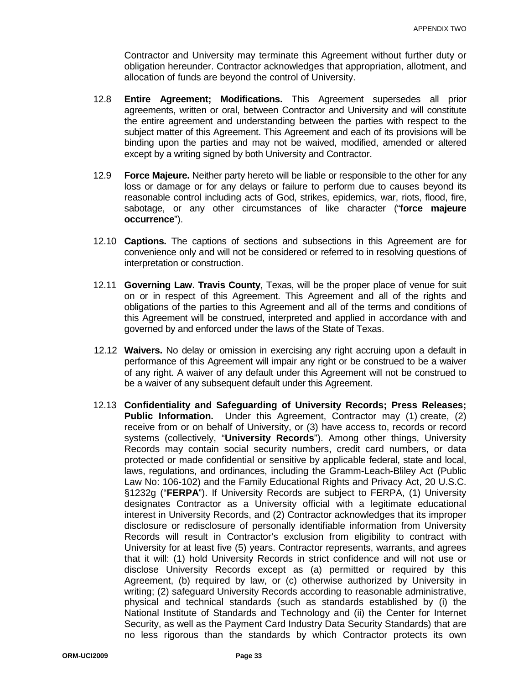Contractor and University may terminate this Agreement without further duty or obligation hereunder. Contractor acknowledges that appropriation, allotment, and allocation of funds are beyond the control of University.

- 12.8 **Entire Agreement; Modifications.** This Agreement supersedes all prior agreements, written or oral, between Contractor and University and will constitute the entire agreement and understanding between the parties with respect to the subject matter of this Agreement. This Agreement and each of its provisions will be binding upon the parties and may not be waived, modified, amended or altered except by a writing signed by both University and Contractor.
- 12.9 **Force Majeure.** Neither party hereto will be liable or responsible to the other for any loss or damage or for any delays or failure to perform due to causes beyond its reasonable control including acts of God, strikes, epidemics, war, riots, flood, fire, sabotage, or any other circumstances of like character ("**force majeure occurrence**").
- 12.10 **Captions.** The captions of sections and subsections in this Agreement are for convenience only and will not be considered or referred to in resolving questions of interpretation or construction.
- 12.11 **Governing Law. Travis County**, Texas, will be the proper place of venue for suit on or in respect of this Agreement. This Agreement and all of the rights and obligations of the parties to this Agreement and all of the terms and conditions of this Agreement will be construed, interpreted and applied in accordance with and governed by and enforced under the laws of the State of Texas.
- 12.12 **Waivers.** No delay or omission in exercising any right accruing upon a default in performance of this Agreement will impair any right or be construed to be a waiver of any right. A waiver of any default under this Agreement will not be construed to be a waiver of any subsequent default under this Agreement.
- 12.13 **Confidentiality and Safeguarding of University Records; Press Releases; Public Information.** Under this Agreement, Contractor may (1) create, (2) receive from or on behalf of University, or (3) have access to, records or record systems (collectively, "**University Records**"). Among other things, University Records may contain social security numbers, credit card numbers, or data protected or made confidential or sensitive by applicable federal, state and local, laws, regulations, and ordinances, including the Gramm-Leach-Bliley Act (Public Law No: 106-102) and the Family Educational Rights and Privacy Act, 20 U.S.C. §1232g ("**FERPA**"). If University Records are subject to FERPA, (1) University designates Contractor as a University official with a legitimate educational interest in University Records, and (2) Contractor acknowledges that its improper disclosure or redisclosure of personally identifiable information from University Records will result in Contractor's exclusion from eligibility to contract with University for at least five (5) years. Contractor represents, warrants, and agrees that it will: (1) hold University Records in strict confidence and will not use or disclose University Records except as (a) permitted or required by this Agreement, (b) required by law, or (c) otherwise authorized by University in writing; (2) safeguard University Records according to reasonable administrative, physical and technical standards (such as standards established by (i) the National Institute of Standards and Technology and (ii) the Center for Internet Security, as well as the Payment Card Industry Data Security Standards) that are no less rigorous than the standards by which Contractor protects its own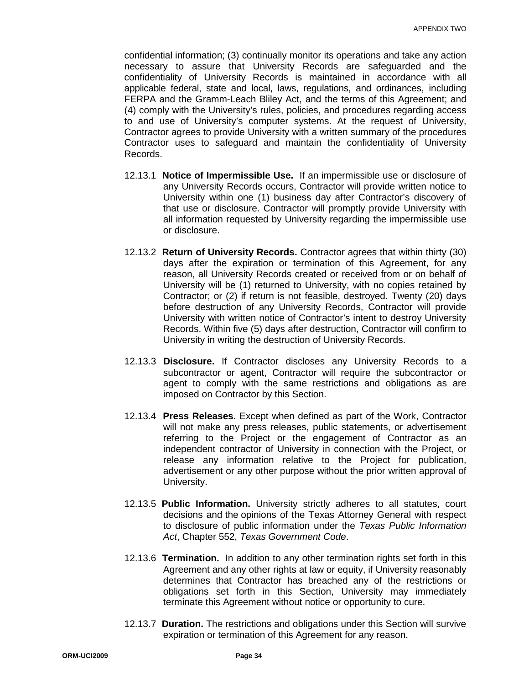confidential information; (3) continually monitor its operations and take any action necessary to assure that University Records are safeguarded and the confidentiality of University Records is maintained in accordance with all applicable federal, state and local, laws, regulations, and ordinances, including FERPA and the Gramm-Leach Bliley Act, and the terms of this Agreement; and (4) comply with the University's rules, policies, and procedures regarding access to and use of University's computer systems. At the request of University, Contractor agrees to provide University with a written summary of the procedures Contractor uses to safeguard and maintain the confidentiality of University Records.

- 12.13.1 **Notice of Impermissible Use.** If an impermissible use or disclosure of any University Records occurs, Contractor will provide written notice to University within one (1) business day after Contractor's discovery of that use or disclosure. Contractor will promptly provide University with all information requested by University regarding the impermissible use or disclosure.
- 12.13.2 **Return of University Records.** Contractor agrees that within thirty (30) days after the expiration or termination of this Agreement, for any reason, all University Records created or received from or on behalf of University will be (1) returned to University, with no copies retained by Contractor; or (2) if return is not feasible, destroyed. Twenty (20) days before destruction of any University Records, Contractor will provide University with written notice of Contractor's intent to destroy University Records. Within five (5) days after destruction, Contractor will confirm to University in writing the destruction of University Records.
- 12.13.3 **Disclosure.** If Contractor discloses any University Records to a subcontractor or agent, Contractor will require the subcontractor or agent to comply with the same restrictions and obligations as are imposed on Contractor by this Section.
- 12.13.4 **Press Releases.** Except when defined as part of the Work, Contractor will not make any press releases, public statements, or advertisement referring to the Project or the engagement of Contractor as an independent contractor of University in connection with the Project, or release any information relative to the Project for publication, advertisement or any other purpose without the prior written approval of University.
- 12.13.5 **Public Information.** University strictly adheres to all statutes, court decisions and the opinions of the Texas Attorney General with respect to disclosure of public information under the *Texas Public Information Act*, Chapter 552, *Texas Government Code*.
- 12.13.6 **Termination.** In addition to any other termination rights set forth in this Agreement and any other rights at law or equity, if University reasonably determines that Contractor has breached any of the restrictions or obligations set forth in this Section, University may immediately terminate this Agreement without notice or opportunity to cure.
- 12.13.7 **Duration.** The restrictions and obligations under this Section will survive expiration or termination of this Agreement for any reason.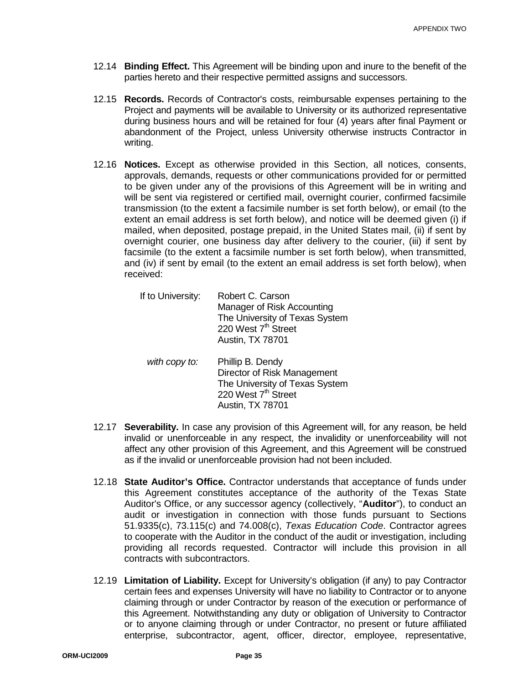- 12.14 **Binding Effect.** This Agreement will be binding upon and inure to the benefit of the parties hereto and their respective permitted assigns and successors.
- 12.15 **Records.** Records of Contractor's costs, reimbursable expenses pertaining to the Project and payments will be available to University or its authorized representative during business hours and will be retained for four (4) years after final Payment or abandonment of the Project, unless University otherwise instructs Contractor in writing.
- 12.16 **Notices.** Except as otherwise provided in this Section, all notices, consents, approvals, demands, requests or other communications provided for or permitted to be given under any of the provisions of this Agreement will be in writing and will be sent via registered or certified mail, overnight courier, confirmed facsimile transmission (to the extent a facsimile number is set forth below), or email (to the extent an email address is set forth below), and notice will be deemed given (i) if mailed, when deposited, postage prepaid, in the United States mail, (ii) if sent by overnight courier, one business day after delivery to the courier, (iii) if sent by facsimile (to the extent a facsimile number is set forth below), when transmitted, and (iv) if sent by email (to the extent an email address is set forth below), when received:

| If to University: | Robert C. Carson                |
|-------------------|---------------------------------|
|                   | Manager of Risk Accounting      |
|                   | The University of Texas System  |
|                   | 220 West 7 <sup>th</sup> Street |
|                   | Austin, TX 78701                |
|                   |                                 |

- *with copy to:* Phillip B. Dendy Director of Risk Management The University of Texas System 220 West 7<sup>th</sup> Street Austin, TX 78701
- 12.17 **Severability.** In case any provision of this Agreement will, for any reason, be held invalid or unenforceable in any respect, the invalidity or unenforceability will not affect any other provision of this Agreement, and this Agreement will be construed as if the invalid or unenforceable provision had not been included.
- 12.18 **State Auditor's Office.** Contractor understands that acceptance of funds under this Agreement constitutes acceptance of the authority of the Texas State Auditor's Office, or any successor agency (collectively, "**Auditor**"), to conduct an audit or investigation in connection with those funds pursuant to Sections 51.9335(c), 73.115(c) and 74.008(c), *Texas Education Code*. Contractor agrees to cooperate with the Auditor in the conduct of the audit or investigation, including providing all records requested. Contractor will include this provision in all contracts with subcontractors.
- 12.19 **Limitation of Liability.** Except for University's obligation (if any) to pay Contractor certain fees and expenses University will have no liability to Contractor or to anyone claiming through or under Contractor by reason of the execution or performance of this Agreement. Notwithstanding any duty or obligation of University to Contractor or to anyone claiming through or under Contractor, no present or future affiliated enterprise, subcontractor, agent, officer, director, employee, representative,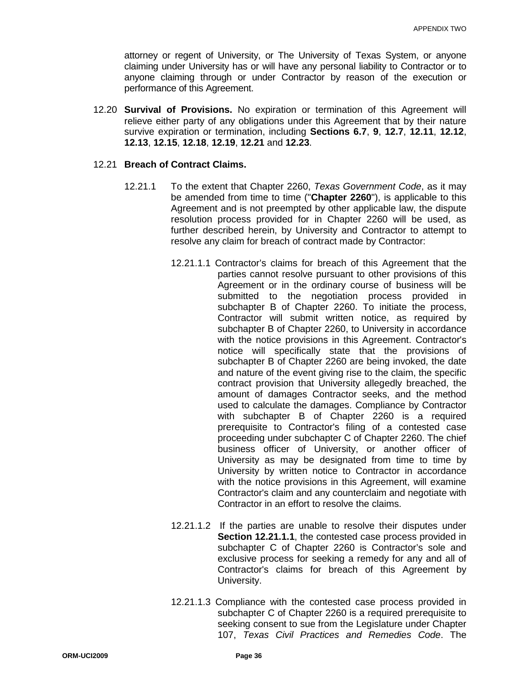attorney or regent of University, or The University of Texas System, or anyone claiming under University has or will have any personal liability to Contractor or to anyone claiming through or under Contractor by reason of the execution or performance of this Agreement.

12.20 **Survival of Provisions.** No expiration or termination of this Agreement will relieve either party of any obligations under this Agreement that by their nature survive expiration or termination, including **Sections 6.7**, **9**, **12.7**, **12.11**, **12.12**, **12.13**, **12.15**, **12.18**, **12.19**, **12.21** and **12.23**.

### 12.21 **Breach of Contract Claims.**

- 12.21.1 To the extent that Chapter 2260, *Texas Government Code*, as it may be amended from time to time ("**Chapter 2260**"), is applicable to this Agreement and is not preempted by other applicable law, the dispute resolution process provided for in Chapter 2260 will be used, as further described herein, by University and Contractor to attempt to resolve any claim for breach of contract made by Contractor:
	- 12.21.1.1 Contractor's claims for breach of this Agreement that the parties cannot resolve pursuant to other provisions of this Agreement or in the ordinary course of business will be submitted to the negotiation process provided in subchapter B of Chapter 2260. To initiate the process, Contractor will submit written notice, as required by subchapter B of Chapter 2260, to University in accordance with the notice provisions in this Agreement. Contractor's notice will specifically state that the provisions of subchapter B of Chapter 2260 are being invoked, the date and nature of the event giving rise to the claim, the specific contract provision that University allegedly breached, the amount of damages Contractor seeks, and the method used to calculate the damages. Compliance by Contractor with subchapter B of Chapter 2260 is a required prerequisite to Contractor's filing of a contested case proceeding under subchapter C of Chapter 2260. The chief business officer of University, or another officer of University as may be designated from time to time by University by written notice to Contractor in accordance with the notice provisions in this Agreement, will examine Contractor's claim and any counterclaim and negotiate with Contractor in an effort to resolve the claims.
	- 12.21.1.2 If the parties are unable to resolve their disputes under **Section 12.21.1.1**, the contested case process provided in subchapter C of Chapter 2260 is Contractor's sole and exclusive process for seeking a remedy for any and all of Contractor's claims for breach of this Agreement by University.
	- 12.21.1.3 Compliance with the contested case process provided in subchapter C of Chapter 2260 is a required prerequisite to seeking consent to sue from the Legislature under Chapter 107, *Texas Civil Practices and Remedies Code*. The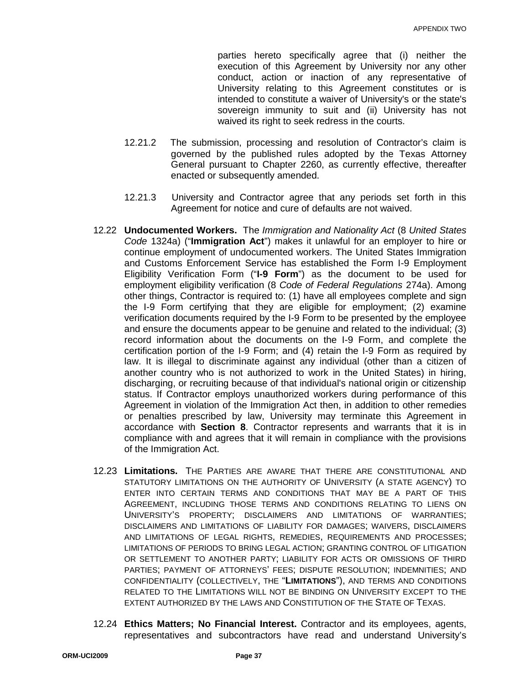parties hereto specifically agree that (i) neither the execution of this Agreement by University nor any other conduct, action or inaction of any representative of University relating to this Agreement constitutes or is intended to constitute a waiver of University's or the state's sovereign immunity to suit and (ii) University has not waived its right to seek redress in the courts.

- 12.21.2 The submission, processing and resolution of Contractor's claim is governed by the published rules adopted by the Texas Attorney General pursuant to Chapter 2260, as currently effective, thereafter enacted or subsequently amended.
- 12.21.3 University and Contractor agree that any periods set forth in this Agreement for notice and cure of defaults are not waived.
- 12.22 **Undocumented Workers.** The *Immigration and Nationality Act* (8 *United States Code* 1324a) ("**Immigration Act**") makes it unlawful for an employer to hire or continue employment of undocumented workers. The United States Immigration and Customs Enforcement Service has established the Form I-9 Employment Eligibility Verification Form ("**I-9 Form**") as the document to be used for employment eligibility verification (8 *Code of Federal Regulations* 274a). Among other things, Contractor is required to: (1) have all employees complete and sign the I-9 Form certifying that they are eligible for employment; (2) examine verification documents required by the I-9 Form to be presented by the employee and ensure the documents appear to be genuine and related to the individual; (3) record information about the documents on the I-9 Form, and complete the certification portion of the I-9 Form; and (4) retain the I-9 Form as required by law. It is illegal to discriminate against any individual (other than a citizen of another country who is not authorized to work in the United States) in hiring, discharging, or recruiting because of that individual's national origin or citizenship status. If Contractor employs unauthorized workers during performance of this Agreement in violation of the Immigration Act then, in addition to other remedies or penalties prescribed by law, University may terminate this Agreement in accordance with **Section 8**. Contractor represents and warrants that it is in compliance with and agrees that it will remain in compliance with the provisions of the Immigration Act.
- 12.23 **Limitations.** THE PARTIES ARE AWARE THAT THERE ARE CONSTITUTIONAL AND STATUTORY LIMITATIONS ON THE AUTHORITY OF UNIVERSITY (A STATE AGENCY) TO ENTER INTO CERTAIN TERMS AND CONDITIONS THAT MAY BE A PART OF THIS AGREEMENT, INCLUDING THOSE TERMS AND CONDITIONS RELATING TO LIENS ON UNIVERSITY'S PROPERTY; DISCLAIMERS AND LIMITATIONS OF WARRANTIES; DISCLAIMERS AND LIMITATIONS OF LIABILITY FOR DAMAGES; WAIVERS, DISCLAIMERS AND LIMITATIONS OF LEGAL RIGHTS, REMEDIES, REQUIREMENTS AND PROCESSES; LIMITATIONS OF PERIODS TO BRING LEGAL ACTION; GRANTING CONTROL OF LITIGATION OR SETTLEMENT TO ANOTHER PARTY; LIABILITY FOR ACTS OR OMISSIONS OF THIRD PARTIES; PAYMENT OF ATTORNEYS' FEES; DISPUTE RESOLUTION; INDEMNITIES; AND CONFIDENTIALITY (COLLECTIVELY, THE "**LIMITATIONS**"), AND TERMS AND CONDITIONS RELATED TO THE LIMITATIONS WILL NOT BE BINDING ON UNIVERSITY EXCEPT TO THE EXTENT AUTHORIZED BY THE LAWS AND CONSTITUTION OF THE STATE OF TEXAS.
- 12.24 **Ethics Matters; No Financial Interest.** Contractor and its employees, agents, representatives and subcontractors have read and understand University's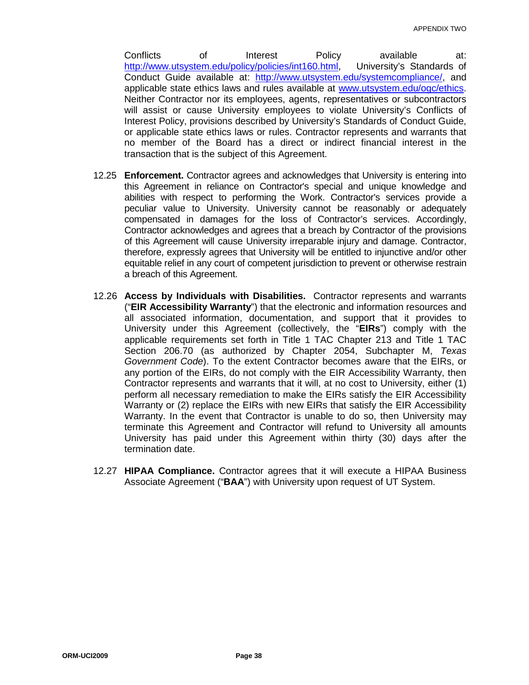Conflicts of Interest Policy available at: [http://www.utsystem.edu/policy/policies/int160.html,](http://www.utsystem.edu/policy/policies/int160.html) University's Standards of Conduct Guide available at: [http://www.utsystem.edu/systemcompliance/,](http://www.utsystem.edu/systemcompliance/) and applicable state ethics laws and rules available at [www.utsystem.edu/ogc/ethics.](http://www.utsystem.edu/ogc/ethics) Neither Contractor nor its employees, agents, representatives or subcontractors will assist or cause University employees to violate University's Conflicts of Interest Policy, provisions described by University's Standards of Conduct Guide, or applicable state ethics laws or rules. Contractor represents and warrants that no member of the Board has a direct or indirect financial interest in the transaction that is the subject of this Agreement.

- 12.25 **Enforcement.** Contractor agrees and acknowledges that University is entering into this Agreement in reliance on Contractor's special and unique knowledge and abilities with respect to performing the Work. Contractor's services provide a peculiar value to University. University cannot be reasonably or adequately compensated in damages for the loss of Contractor's services. Accordingly, Contractor acknowledges and agrees that a breach by Contractor of the provisions of this Agreement will cause University irreparable injury and damage. Contractor, therefore, expressly agrees that University will be entitled to injunctive and/or other equitable relief in any court of competent jurisdiction to prevent or otherwise restrain a breach of this Agreement.
- 12.26 **Access by Individuals with Disabilities.** Contractor represents and warrants ("**EIR Accessibility Warranty**") that the electronic and information resources and all associated information, documentation, and support that it provides to University under this Agreement (collectively, the "**EIRs**") comply with the applicable requirements set forth in Title 1 TAC Chapter 213 and Title 1 TAC Section 206.70 (as authorized by Chapter 2054, Subchapter M, *Texas Government Code*). To the extent Contractor becomes aware that the EIRs, or any portion of the EIRs, do not comply with the EIR Accessibility Warranty, then Contractor represents and warrants that it will, at no cost to University, either (1) perform all necessary remediation to make the EIRs satisfy the EIR Accessibility Warranty or (2) replace the EIRs with new EIRs that satisfy the EIR Accessibility Warranty. In the event that Contractor is unable to do so, then University may terminate this Agreement and Contractor will refund to University all amounts University has paid under this Agreement within thirty (30) days after the termination date.
- 12.27 **HIPAA Compliance.** Contractor agrees that it will execute a HIPAA Business Associate Agreement ("**BAA**") with University upon request of UT System.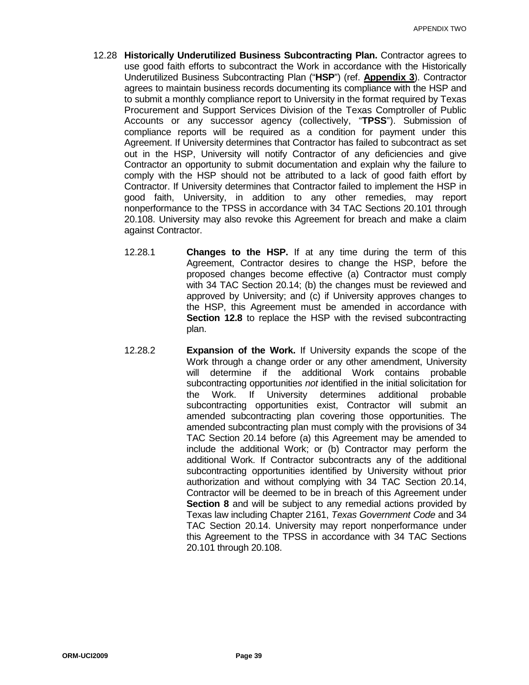- 12.28 **Historically Underutilized Business Subcontracting Plan.** Contractor agrees to use good faith efforts to subcontract the Work in accordance with the Historically Underutilized Business Subcontracting Plan ("**HSP**") (ref. **Appendix 3**). Contractor agrees to maintain business records documenting its compliance with the HSP and to submit a monthly compliance report to University in the format required by Texas Procurement and Support Services Division of the Texas Comptroller of Public Accounts or any successor agency (collectively, "**TPSS**"). Submission of compliance reports will be required as a condition for payment under this Agreement. If University determines that Contractor has failed to subcontract as set out in the HSP, University will notify Contractor of any deficiencies and give Contractor an opportunity to submit documentation and explain why the failure to comply with the HSP should not be attributed to a lack of good faith effort by Contractor. If University determines that Contractor failed to implement the HSP in good faith, University, in addition to any other remedies, may report nonperformance to the TPSS in accordance with 34 TAC Sections 20.101 through 20.108. University may also revoke this Agreement for breach and make a claim against Contractor.
	- 12.28.1 **Changes to the HSP.** If at any time during the term of this Agreement, Contractor desires to change the HSP, before the proposed changes become effective (a) Contractor must comply with 34 TAC Section 20.14; (b) the changes must be reviewed and approved by University; and (c) if University approves changes to the HSP, this Agreement must be amended in accordance with **Section 12.8** to replace the HSP with the revised subcontracting plan.
	- 12.28.2 **Expansion of the Work.** If University expands the scope of the Work through a change order or any other amendment, University will determine if the additional Work contains probable subcontracting opportunities *not* identified in the initial solicitation for the Work. If University determines additional probable subcontracting opportunities exist, Contractor will submit an amended subcontracting plan covering those opportunities. The amended subcontracting plan must comply with the provisions of 34 TAC Section 20.14 before (a) this Agreement may be amended to include the additional Work; or (b) Contractor may perform the additional Work. If Contractor subcontracts any of the additional subcontracting opportunities identified by University without prior authorization and without complying with 34 TAC Section 20.14, Contractor will be deemed to be in breach of this Agreement under **Section 8** and will be subject to any remedial actions provided by Texas law including Chapter 2161, *Texas Government Code* and 34 TAC Section 20.14. University may report nonperformance under this Agreement to the TPSS in accordance with 34 TAC Sections 20.101 through 20.108.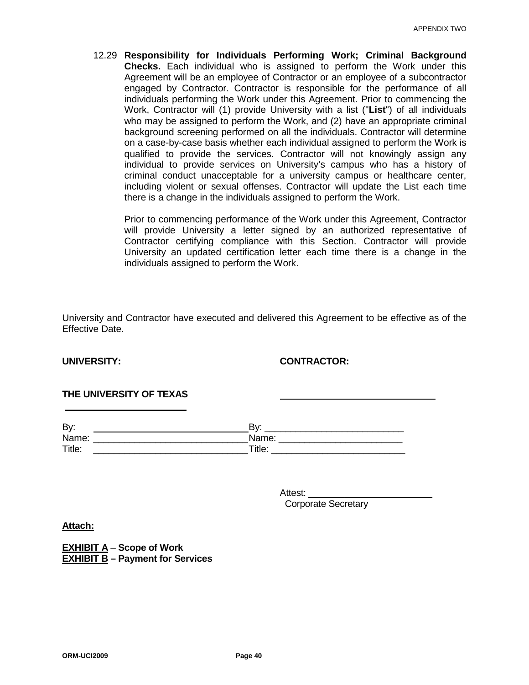12.29 **Responsibility for Individuals Performing Work; Criminal Background Checks.** Each individual who is assigned to perform the Work under this Agreement will be an employee of Contractor or an employee of a subcontractor engaged by Contractor. Contractor is responsible for the performance of all individuals performing the Work under this Agreement. Prior to commencing the Work, Contractor will (1) provide University with a list ("**List**") of all individuals who may be assigned to perform the Work, and (2) have an appropriate criminal background screening performed on all the individuals. Contractor will determine on a case-by-case basis whether each individual assigned to perform the Work is qualified to provide the services. Contractor will not knowingly assign any individual to provide services on University's campus who has a history of criminal conduct unacceptable for a university campus or healthcare center, including violent or sexual offenses. Contractor will update the List each time there is a change in the individuals assigned to perform the Work.

Prior to commencing performance of the Work under this Agreement, Contractor will provide University a letter signed by an authorized representative of Contractor certifying compliance with this Section. Contractor will provide University an updated certification letter each time there is a change in the individuals assigned to perform the Work.

University and Contractor have executed and delivered this Agreement to be effective as of the Effective Date.

### **UNIVERSITY: CONTRACTOR:**

### **THE UNIVERSITY OF TEXAS**

| By:    | D.,    |
|--------|--------|
| Name:  | Name:  |
| Title: | Title: |

Attest: \_\_\_\_\_\_\_\_\_\_\_\_\_\_\_\_\_\_\_\_\_\_\_\_ Corporate Secretary

**Attach:**

**EXHIBIT A** – **Scope of Work EXHIBIT B – Payment for Services**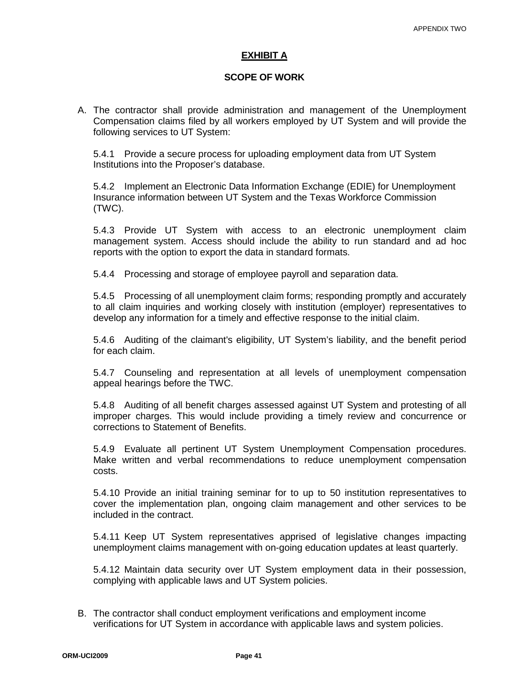### **EXHIBIT A**

### **SCOPE OF WORK**

A. The contractor shall provide administration and management of the Unemployment Compensation claims filed by all workers employed by UT System and will provide the following services to UT System:

5.4.1 Provide a secure process for uploading employment data from UT System Institutions into the Proposer's database.

5.4.2 Implement an Electronic Data Information Exchange (EDIE) for Unemployment Insurance information between UT System and the Texas Workforce Commission (TWC).

5.4.3 Provide UT System with access to an electronic unemployment claim management system. Access should include the ability to run standard and ad hoc reports with the option to export the data in standard formats.

5.4.4 Processing and storage of employee payroll and separation data.

5.4.5 Processing of all unemployment claim forms; responding promptly and accurately to all claim inquiries and working closely with institution (employer) representatives to develop any information for a timely and effective response to the initial claim.

5.4.6 Auditing of the claimant's eligibility, UT System's liability, and the benefit period for each claim.

5.4.7 Counseling and representation at all levels of unemployment compensation appeal hearings before the TWC.

5.4.8 Auditing of all benefit charges assessed against UT System and protesting of all improper charges. This would include providing a timely review and concurrence or corrections to Statement of Benefits.

5.4.9 Evaluate all pertinent UT System Unemployment Compensation procedures. Make written and verbal recommendations to reduce unemployment compensation costs.

5.4.10 Provide an initial training seminar for to up to 50 institution representatives to cover the implementation plan, ongoing claim management and other services to be included in the contract.

5.4.11 Keep UT System representatives apprised of legislative changes impacting unemployment claims management with on-going education updates at least quarterly.

5.4.12 Maintain data security over UT System employment data in their possession, complying with applicable laws and UT System policies.

B. The contractor shall conduct employment verifications and employment income verifications for UT System in accordance with applicable laws and system policies.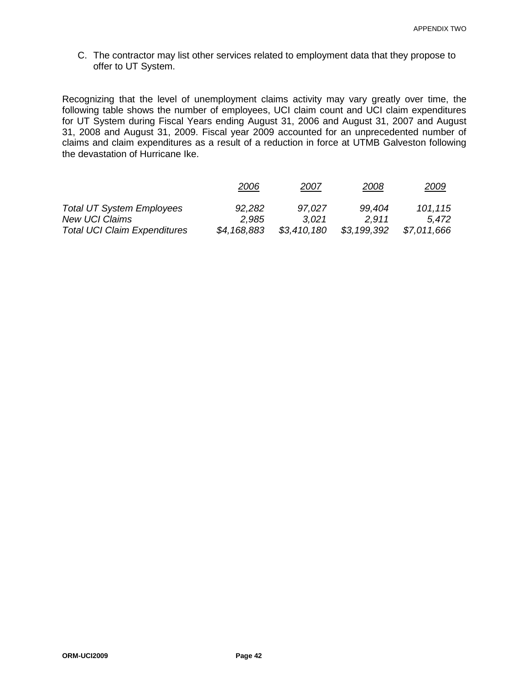C. The contractor may list other services related to employment data that they propose to offer to UT System.

Recognizing that the level of unemployment claims activity may vary greatly over time, the following table shows the number of employees, UCI claim count and UCI claim expenditures for UT System during Fiscal Years ending August 31, 2006 and August 31, 2007 and August 31, 2008 and August 31, 2009. Fiscal year 2009 accounted for an unprecedented number of claims and claim expenditures as a result of a reduction in force at UTMB Galveston following the devastation of Hurricane Ike.

|                                     | 2006        | 2007        | 2008        | <u> 2009</u> |
|-------------------------------------|-------------|-------------|-------------|--------------|
| <b>Total UT System Employees</b>    | 92,282      | 97,027      | 99.404      | 101,115      |
| <b>New UCI Claims</b>               | 2.985       | 3.021       | 2.911       | 5.472        |
| <b>Total UCI Claim Expenditures</b> | \$4,168,883 | \$3,410,180 | \$3,199,392 | \$7,011,666  |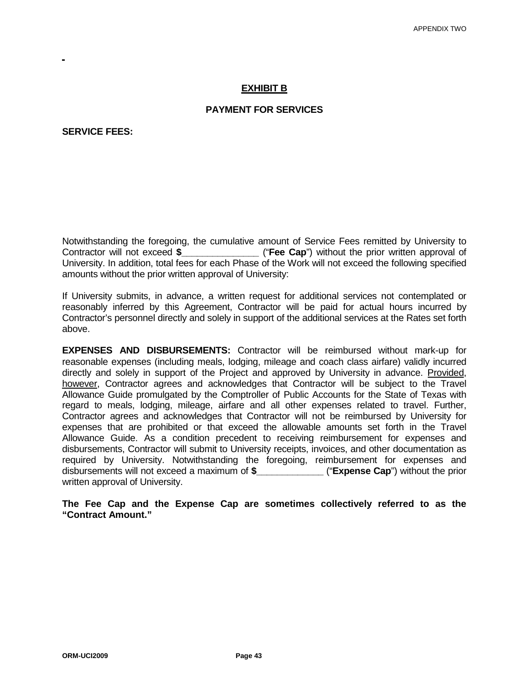### **EXHIBIT B**

### **PAYMENT FOR SERVICES**

**SERVICE FEES:** 

Notwithstanding the foregoing, the cumulative amount of Service Fees remitted by University to Contractor will not exceed \$ **Contract ("Fee Cap**") without the prior written approval of University. In addition, total fees for each Phase of the Work will not exceed the following specified amounts without the prior written approval of University:

If University submits, in advance, a written request for additional services not contemplated or reasonably inferred by this Agreement, Contractor will be paid for actual hours incurred by Contractor's personnel directly and solely in support of the additional services at the Rates set forth above.

**EXPENSES AND DISBURSEMENTS:** Contractor will be reimbursed without mark-up for reasonable expenses (including meals, lodging, mileage and coach class airfare) validly incurred directly and solely in support of the Project and approved by University in advance. Provided, however, Contractor agrees and acknowledges that Contractor will be subject to the Travel Allowance Guide promulgated by the Comptroller of Public Accounts for the State of Texas with regard to meals, lodging, mileage, airfare and all other expenses related to travel. Further, Contractor agrees and acknowledges that Contractor will not be reimbursed by University for expenses that are prohibited or that exceed the allowable amounts set forth in the Travel Allowance Guide. As a condition precedent to receiving reimbursement for expenses and disbursements, Contractor will submit to University receipts, invoices, and other documentation as required by University. Notwithstanding the foregoing, reimbursement for expenses and disbursements will not exceed a maximum of **\$\_\_\_\_\_\_\_\_\_\_\_\_\_** ("**Expense Cap**") without the prior written approval of University.

**The Fee Cap and the Expense Cap are sometimes collectively referred to as the "Contract Amount."**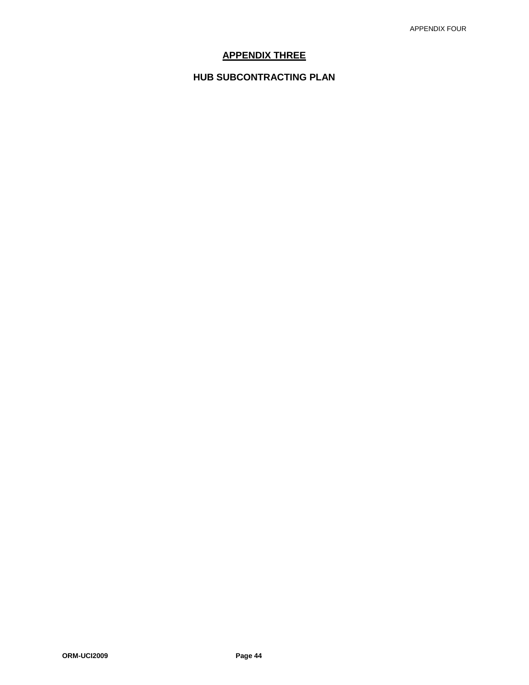# **APPENDIX THREE**

# **HUB SUBCONTRACTING PLAN**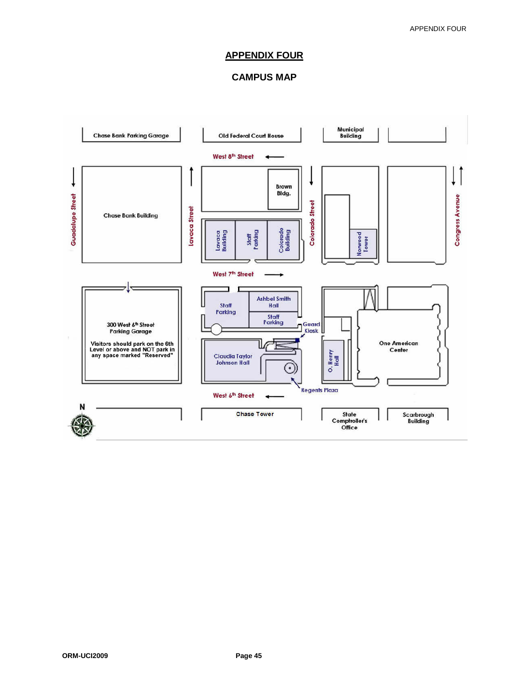### **APPENDIX FOUR**

# **CAMPUS MAP**

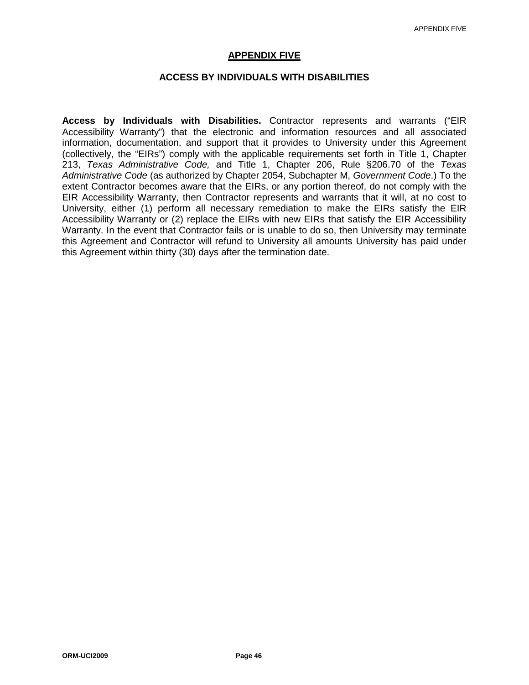### **APPENDIX FIVE**

### **ACCESS BY INDIVIDUALS WITH DISABILITIES**

**Access by Individuals with Disabilities.** Contractor represents and warrants ("EIR Accessibility Warranty") that the electronic and information resources and all associated information, documentation, and support that it provides to University under this Agreement (collectively, the "EIRs") comply with the applicable requirements set forth in Title 1, Chapter 213, *Texas Administrative Code,* and Title 1, Chapter 206, Rule §206.70 of the *Texas Administrative Code* (as authorized by Chapter 2054, Subchapter M, *Government Code*.) To the extent Contractor becomes aware that the EIRs, or any portion thereof, do not comply with the EIR Accessibility Warranty, then Contractor represents and warrants that it will, at no cost to University, either (1) perform all necessary remediation to make the EIRs satisfy the EIR Accessibility Warranty or (2) replace the EIRs with new EIRs that satisfy the EIR Accessibility Warranty. In the event that Contractor fails or is unable to do so, then University may terminate this Agreement and Contractor will refund to University all amounts University has paid under this Agreement within thirty (30) days after the termination date.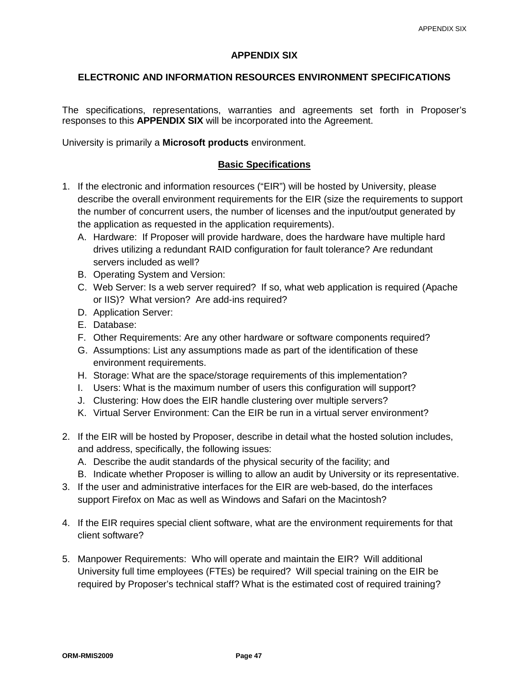### **APPENDIX SIX**

### **ELECTRONIC AND INFORMATION RESOURCES ENVIRONMENT SPECIFICATIONS**

The specifications, representations, warranties and agreements set forth in Proposer's responses to this **APPENDIX SIX** will be incorporated into the Agreement.

University is primarily a **Microsoft products** environment.

### **Basic Specifications**

- 1. If the electronic and information resources ("EIR") will be hosted by University, please describe the overall environment requirements for the EIR (size the requirements to support the number of concurrent users, the number of licenses and the input/output generated by the application as requested in the application requirements).
	- A. Hardware: If Proposer will provide hardware, does the hardware have multiple hard drives utilizing a redundant RAID configuration for fault tolerance? Are redundant servers included as well?
	- B. Operating System and Version:
	- C. Web Server: Is a web server required? If so, what web application is required (Apache or IIS)? What version? Are add-ins required?
	- D. Application Server:
	- E. Database:
	- F. Other Requirements: Are any other hardware or software components required?
	- G. Assumptions: List any assumptions made as part of the identification of these environment requirements.
	- H. Storage: What are the space/storage requirements of this implementation?
	- I. Users: What is the maximum number of users this configuration will support?
	- J. Clustering: How does the EIR handle clustering over multiple servers?
	- K. Virtual Server Environment: Can the EIR be run in a virtual server environment?
- 2. If the EIR will be hosted by Proposer, describe in detail what the hosted solution includes, and address, specifically, the following issues:
	- A. Describe the audit standards of the physical security of the facility; and
	- B. Indicate whether Proposer is willing to allow an audit by University or its representative.
- 3. If the user and administrative interfaces for the EIR are web-based, do the interfaces support Firefox on Mac as well as Windows and Safari on the Macintosh?
- 4. If the EIR requires special client software, what are the environment requirements for that client software?
- 5. Manpower Requirements: Who will operate and maintain the EIR? Will additional University full time employees (FTEs) be required? Will special training on the EIR be required by Proposer's technical staff? What is the estimated cost of required training?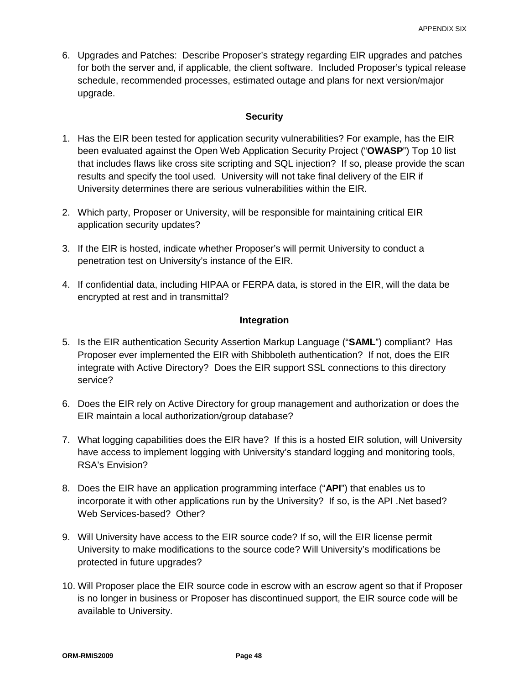6. Upgrades and Patches: Describe Proposer's strategy regarding EIR upgrades and patches for both the server and, if applicable, the client software. Included Proposer's typical release schedule, recommended processes, estimated outage and plans for next version/major upgrade.

### **Security**

- 1. Has the EIR been tested for application security vulnerabilities? For example, has the EIR been evaluated against the Open Web Application Security Project ("**OWASP**") Top 10 list that includes flaws like cross site scripting and SQL injection? If so, please provide the scan results and specify the tool used. University will not take final delivery of the EIR if University determines there are serious vulnerabilities within the EIR.
- 2. Which party, Proposer or University, will be responsible for maintaining critical EIR application security updates?
- 3. If the EIR is hosted, indicate whether Proposer's will permit University to conduct a penetration test on University's instance of the EIR.
- 4. If confidential data, including HIPAA or FERPA data, is stored in the EIR, will the data be encrypted at rest and in transmittal?

### **Integration**

- 5. Is the EIR authentication Security Assertion Markup Language ("**SAML**") compliant? Has Proposer ever implemented the EIR with Shibboleth authentication? If not, does the EIR integrate with Active Directory? Does the EIR support SSL connections to this directory service?
- 6. Does the EIR rely on Active Directory for group management and authorization or does the EIR maintain a local authorization/group database?
- 7. What logging capabilities does the EIR have? If this is a hosted EIR solution, will University have access to implement logging with University's standard logging and monitoring tools, RSA's Envision?
- 8. Does the EIR have an application programming interface ("**API**") that enables us to incorporate it with other applications run by the University? If so, is the API .Net based? Web Services-based? Other?
- 9. Will University have access to the EIR source code? If so, will the EIR license permit University to make modifications to the source code? Will University's modifications be protected in future upgrades?
- 10. Will Proposer place the EIR source code in escrow with an escrow agent so that if Proposer is no longer in business or Proposer has discontinued support, the EIR source code will be available to University.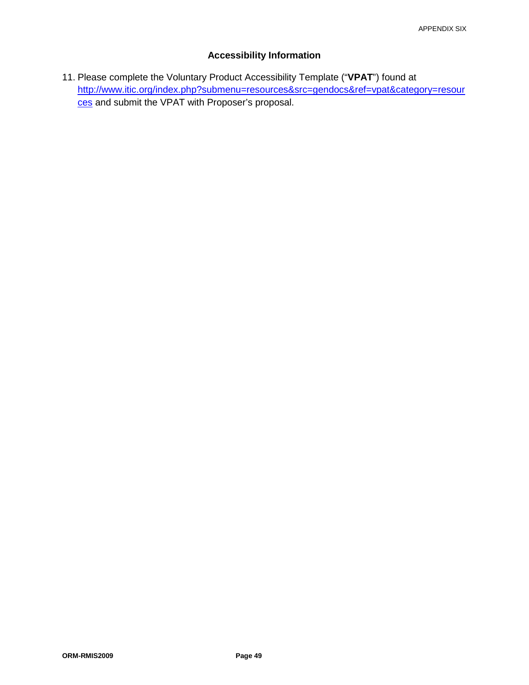# **Accessibility Information**

11. Please complete the Voluntary Product Accessibility Template ("**VPAT**") found at [http://www.itic.org/index.php?submenu=resources&src=gendocs&ref=vpat&category=resour](http://www.itic.org/index.php?submenu=resources&src=gendocs&ref=vpat&category=resources) [ces](http://www.itic.org/index.php?submenu=resources&src=gendocs&ref=vpat&category=resources) and submit the VPAT with Proposer's proposal.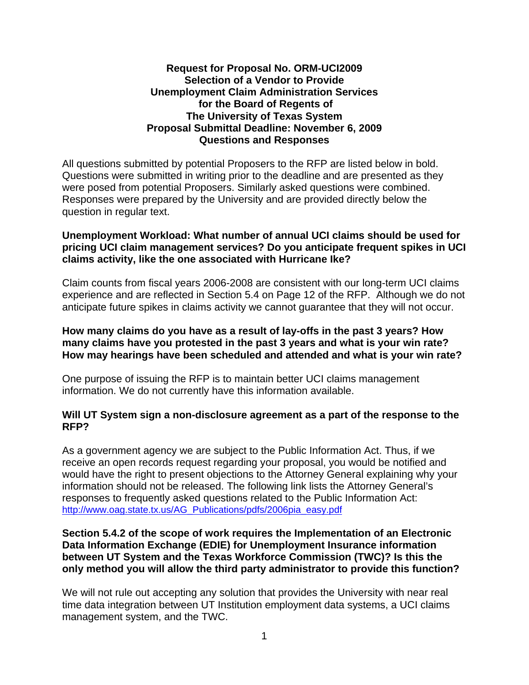# **Request for Proposal No. ORM-UCI2009 Selection of a Vendor to Provide Unemployment Claim Administration Services for the Board of Regents of The University of Texas System Proposal Submittal Deadline: November 6, 2009 Questions and Responses**

All questions submitted by potential Proposers to the RFP are listed below in bold. Questions were submitted in writing prior to the deadline and are presented as they were posed from potential Proposers. Similarly asked questions were combined. Responses were prepared by the University and are provided directly below the question in regular text.

# **Unemployment Workload: What number of annual UCI claims should be used for pricing UCI claim management services? Do you anticipate frequent spikes in UCI claims activity, like the one associated with Hurricane Ike?**

Claim counts from fiscal years 2006-2008 are consistent with our long-term UCI claims experience and are reflected in Section 5.4 on Page 12 of the RFP. Although we do not anticipate future spikes in claims activity we cannot guarantee that they will not occur.

# **How many claims do you have as a result of lay-offs in the past 3 years? How many claims have you protested in the past 3 years and what is your win rate? How may hearings have been scheduled and attended and what is your win rate?**

One purpose of issuing the RFP is to maintain better UCI claims management information. We do not currently have this information available.

# **Will UT System sign a non-disclosure agreement as a part of the response to the RFP?**

As a government agency we are subject to the Public Information Act. Thus, if we receive an open records request regarding your proposal, you would be notified and would have the right to present objections to the Attorney General explaining why your information should not be released. The following link lists the Attorney General's responses to frequently asked questions related to the Public Information Act: [http://www.oag.state.tx.us/AG\\_Publications/pdfs/2006pia\\_easy.pdf](http://www.oag.state.tx.us/AG_Publications/pdfs/2006pia_easy.pdf)

# **Section 5.4.2 of the scope of work requires the Implementation of an Electronic Data Information Exchange (EDIE) for Unemployment Insurance information between UT System and the Texas Workforce Commission (TWC)? Is this the only method you will allow the third party administrator to provide this function?**

We will not rule out accepting any solution that provides the University with near real time data integration between UT Institution employment data systems, a UCI claims management system, and the TWC.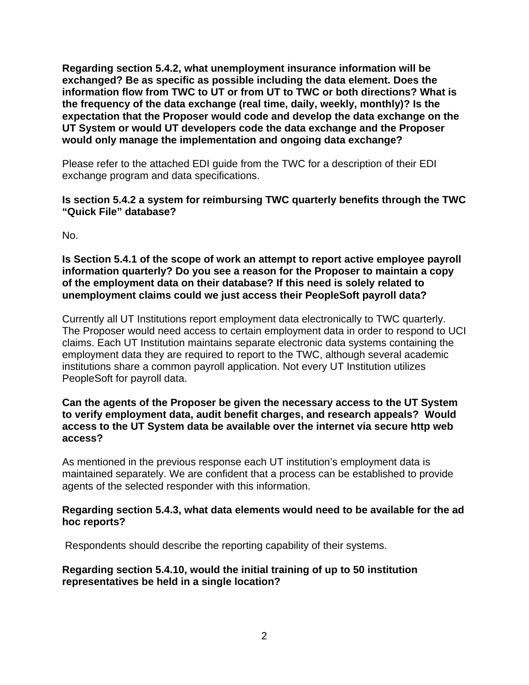**Regarding section 5.4.2, what unemployment insurance information will be exchanged? Be as specific as possible including the data element. Does the information flow from TWC to UT or from UT to TWC or both directions? What is the frequency of the data exchange (real time, daily, weekly, monthly)? Is the expectation that the Proposer would code and develop the data exchange on the UT System or would UT developers code the data exchange and the Proposer would only manage the implementation and ongoing data exchange?** 

Please refer to the attached EDI guide from the TWC for a description of their EDI exchange program and data specifications.

# **Is section 5.4.2 a system for reimbursing TWC quarterly benefits through the TWC "Quick File" database?**

No.

**Is Section 5.4.1 of the scope of work an attempt to report active employee payroll information quarterly? Do you see a reason for the Proposer to maintain a copy of the employment data on their database? If this need is solely related to unemployment claims could we just access their PeopleSoft payroll data?** 

Currently all UT Institutions report employment data electronically to TWC quarterly. The Proposer would need access to certain employment data in order to respond to UCI claims. Each UT Institution maintains separate electronic data systems containing the employment data they are required to report to the TWC, although several academic institutions share a common payroll application. Not every UT Institution utilizes PeopleSoft for payroll data.

# **Can the agents of the Proposer be given the necessary access to the UT System to verify employment data, audit benefit charges, and research appeals? Would access to the UT System data be available over the internet via secure http web access?**

As mentioned in the previous response each UT institution's employment data is maintained separately. We are confident that a process can be established to provide agents of the selected responder with this information.

# **Regarding section 5.4.3, what data elements would need to be available for the ad hoc reports?**

Respondents should describe the reporting capability of their systems.

# **Regarding section 5.4.10, would the initial training of up to 50 institution representatives be held in a single location?**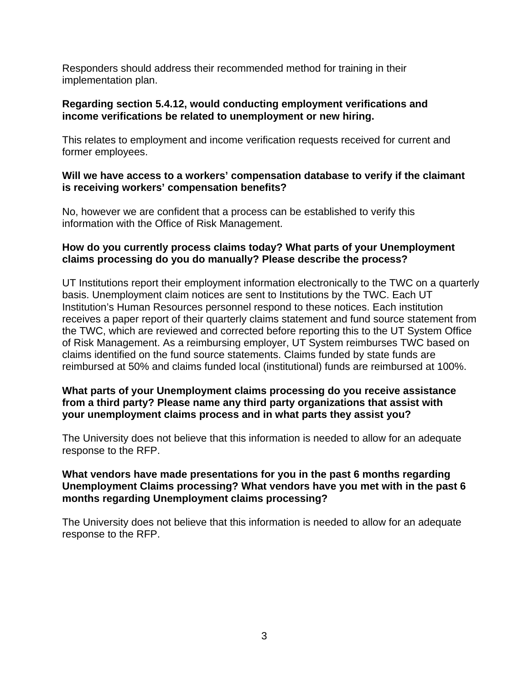Responders should address their recommended method for training in their implementation plan.

# **Regarding section 5.4.12, would conducting employment verifications and income verifications be related to unemployment or new hiring.**

This relates to employment and income verification requests received for current and former employees.

# **Will we have access to a workers' compensation database to verify if the claimant is receiving workers' compensation benefits?**

No, however we are confident that a process can be established to verify this information with the Office of Risk Management.

# **How do you currently process claims today? What parts of your Unemployment claims processing do you do manually? Please describe the process?**

UT Institutions report their employment information electronically to the TWC on a quarterly basis. Unemployment claim notices are sent to Institutions by the TWC. Each UT Institution's Human Resources personnel respond to these notices. Each institution receives a paper report of their quarterly claims statement and fund source statement from the TWC, which are reviewed and corrected before reporting this to the UT System Office of Risk Management. As a reimbursing employer, UT System reimburses TWC based on claims identified on the fund source statements. Claims funded by state funds are reimbursed at 50% and claims funded local (institutional) funds are reimbursed at 100%.

# **What parts of your Unemployment claims processing do you receive assistance from a third party? Please name any third party organizations that assist with your unemployment claims process and in what parts they assist you?**

The University does not believe that this information is needed to allow for an adequate response to the RFP.

# **What vendors have made presentations for you in the past 6 months regarding Unemployment Claims processing? What vendors have you met with in the past 6 months regarding Unemployment claims processing?**

The University does not believe that this information is needed to allow for an adequate response to the RFP.